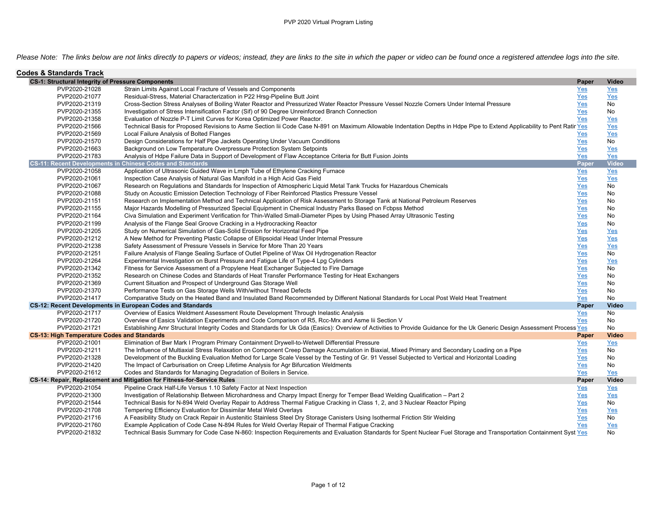*Please Note: The links below are not links directly to papers or videos; instead, they are links to the site in which the paper or video can be found once a registered attendee logs into the site.*

| <b>Codes &amp; Standards Track</b>                       |                                                                                                                                                                            |       |              |
|----------------------------------------------------------|----------------------------------------------------------------------------------------------------------------------------------------------------------------------------|-------|--------------|
| <b>CS-1: Structural Integrity of Pressure Components</b> |                                                                                                                                                                            | Paper | <b>Video</b> |
| PVP2020-21028                                            | Strain Limits Against Local Fracture of Vessels and Components                                                                                                             | Yes   | Yes          |
| PVP2020-21077                                            | Residual-Stress, Material Characterization in P22 Hrsg-Pipeline Butt Joint                                                                                                 | $Yes$ | Yes          |
| PVP2020-21319                                            | Cross-Section Stress Analyses of Boiling Water Reactor and Pressurized Water Reactor Pressure Vessel Nozzle Corners Under Internal Pressure                                | Yes   | <b>No</b>    |
| PVP2020-21355                                            | Investigation of Stress Intensification Factor (Sif) of 90 Degree Unreinforced Branch Connection                                                                           | Yes   | No           |
| PVP2020-21358                                            | Evaluation of Nozzle P-T Limit Curves for Korea Optimized Power Reactor.                                                                                                   | Yes   | Yes          |
| PVP2020-21566                                            | Technical Basis for Proposed Revisions to Asme Section lii Code Case N-891 on Maximum Allowable Indentation Depths in Hdpe Pipe to Extend Applicability to Pent Ratir Yes  |       | Yes          |
| PVP2020-21569                                            | Local Failure Analysis of Bolted Flanges                                                                                                                                   | Yes   | Yes          |
| PVP2020-21570                                            | Design Considerations for Half Pipe Jackets Operating Under Vacuum Conditions                                                                                              | Yes   | No           |
| PVP2020-21663                                            | Background on Low Temperature Overpressure Protection System Setpoints                                                                                                     | Yes   | <b>Yes</b>   |
| PVP2020-21783                                            | Analysis of Hdpe Failure Data in Support of Development of Flaw Acceptance Criteria for Butt Fusion Joints                                                                 | Yes   | Yes          |
|                                                          | <b>CS-11: Recent Developments in Chinese Codes and Standards</b>                                                                                                           | Paper | <b>Video</b> |
| PVP2020-21058                                            | Application of Ultrasonic Guided Wave in Lmph Tube of Ethylene Cracking Furnace                                                                                            | Yes   | Yes          |
| PVP2020-21061                                            | Inspection Case Analysis of Natural Gas Manifold in a High Acid Gas Field                                                                                                  | Yes   | Yes          |
| PVP2020-21067                                            | Research on Regulations and Standards for Inspection of Atmospheric Liquid Metal Tank Trucks for Hazardous Chemicals                                                       | Yes   | No           |
| PVP2020-21088                                            | Study on Acoustic Emission Detection Technology of Fiber Reinforced Plastics Pressure Vessel                                                                               | Yes   | No           |
| PVP2020-21151                                            | Research on Implementation Method and Technical Application of Risk Assessment to Storage Tank at National Petroleum Reserves                                              | Yes   | No           |
| PVP2020-21155                                            | Major Hazards Modelling of Pressurized Special Equipment in Chemical Industry Parks Based on Fcbpss Method                                                                 | Yes   | No           |
| PVP2020-21164                                            | Civa Simulation and Experiment Verification for Thin-Walled Small-Diameter Pipes by Using Phased Array Ultrasonic Testing                                                  | Yes   | No           |
| PVP2020-21199                                            | Analysis of the Flange Seal Groove Cracking in a Hydrocracking Reactor                                                                                                     | Yes   | No           |
| PVP2020-21205                                            | Study on Numerical Simulation of Gas-Solid Erosion for Horizontal Feed Pipe                                                                                                | Yes   | Yes          |
| PVP2020-21212                                            | A New Method for Preventing Plastic Collapse of Ellipsoidal Head Under Internal Pressure                                                                                   | Yes   | Yes          |
| PVP2020-21238                                            | Safety Assessment of Pressure Vessels in Service for More Than 20 Years                                                                                                    | Yes   | Yes          |
| PVP2020-21251                                            | Failure Analysis of Flange Sealing Surface of Outlet Pipeline of Wax Oil Hydrogenation Reactor                                                                             | Yes   | No           |
| PVP2020-21264                                            | Experimental Investigation on Burst Pressure and Fatigue Life of Type-4 Lpg Cylinders                                                                                      | Yes   | Yes          |
| PVP2020-21342                                            | Fitness for Service Assessment of a Propylene Heat Exchanger Subjected to Fire Damage                                                                                      | Yes   | <b>No</b>    |
| PVP2020-21352                                            | Research on Chinese Codes and Standards of Heat Transfer Performance Testing for Heat Exchangers                                                                           | Yes   | No           |
| PVP2020-21369                                            | Current Situation and Prospect of Underground Gas Storage Well                                                                                                             | Yes   | No           |
| PVP2020-21370                                            | Performance Tests on Gas Storage Wells With/without Thread Defects                                                                                                         | Yes   | No           |
| PVP2020-21417                                            | Comparative Study on the Heated Band and Insulated Band Recommended by Different National Standards for Local Post Weld Heat Treatment                                     | Yes   | No           |
|                                                          | CS-12: Recent Developments in European Codes and Standards                                                                                                                 | Paper | Video        |
| PVP2020-21717                                            | Overview of Easics Weldment Assessment Route Development Through Inelastic Analysis                                                                                        | Yes   | No           |
| PVP2020-21720                                            | Overview of Easics Validation Experiments and Code Comparison of R5, Rcc-Mrx and Asme lii Section V                                                                        | Yes   | No           |
| PVP2020-21721                                            | Establishing Amr Structural Integrity Codes and Standards for Uk Gda (Easics): Overview of Activities to Provide Guidance for the Uk Generic Design Assessment Process Yes |       | No           |
| <b>CS-13: High Temperature Codes and Standards</b>       |                                                                                                                                                                            | Paper | <b>Video</b> |
| PVP2020-21001                                            | Elimination of Bwr Mark I Program Primary Containment Drywell-to-Wetwell Differential Pressure                                                                             | Yes   | Yes          |
| PVP2020-21211                                            | The Influence of Multiaxial Stress Relaxation on Component Creep Damage Accumulation in Biaxial, Mixed Primary and Secondary Loading on a Pipe                             | Yes   | No           |
| PVP2020-21328                                            | Development of the Buckling Evaluation Method for Large Scale Vessel by the Testing of Gr. 91 Vessel Subjected to Vertical and Horizontal Loading                          | Yes   | No           |
| PVP2020-21420                                            | The Impact of Carburisation on Creep Lifetime Analysis for Agr Bifurcation Weldments                                                                                       | Yes   | No           |
| PVP2020-21612                                            | Codes and Standards for Managing Degradation of Boilers in Service.                                                                                                        | Yes   | Yes          |
|                                                          | CS-14: Repair, Replacement and Mitigation for Fitness-for-Service Rules                                                                                                    | Paper | Video        |
| PVP2020-21054                                            | Pipeline Crack Half-Life Versus 1.10 Safety Factor at Next Inspection                                                                                                      | $Yes$ | Yes          |
| PVP2020-21300                                            | Investigation of Relationship Between Microhardness and Charpy Impact Energy for Temper Bead Welding Qualification - Part 2                                                | $Yes$ | Yes          |
| PVP2020-21544                                            | Technical Basis for N-894 Weld Overlay Repair to Address Thermal Fatigue Cracking in Class 1, 2, and 3 Nuclear Reactor Piping                                              | Yes   | No           |
| PVP2020-21708                                            | Tempering Efficiency Evaluation for Dissimilar Metal Weld Overlays                                                                                                         | Yes   | <b>Yes</b>   |
| PVP2020-21716                                            | A Feasibility Study on Crack Repair in Austenitic Stainless Steel Dry Storage Canisters Using Isothermal Friction Stir Welding                                             | Yes   | No           |
| PVP2020-21760                                            | Example Application of Code Case N-894 Rules for Weld Overlay Repair of Thermal Fatigue Cracking                                                                           | Yes   | Yes          |
| PVP2020-21832                                            | Technical Basis Summary for Code Case N-860: Inspection Requirements and Evaluation Standards for Spent Nuclear Fuel Storage and Transportation Containment Syst Yes       |       | No           |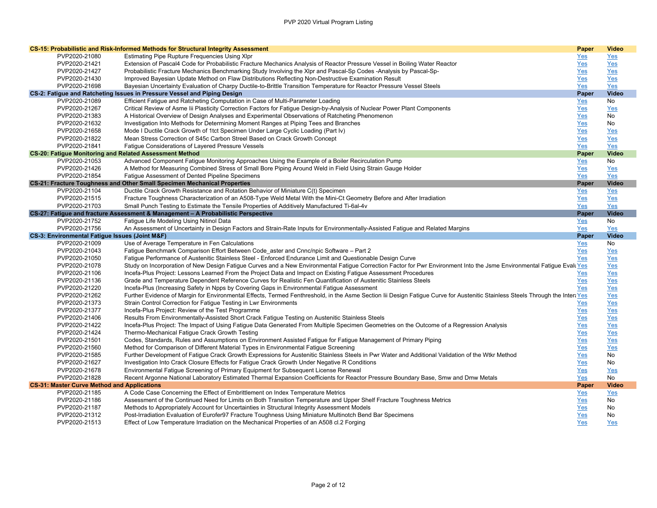|                                                                | CS-15: Probabilistic and Risk-Informed Methods for Structural Integrity Assessment                                                                                             | Paper      | <b>Video</b> |
|----------------------------------------------------------------|--------------------------------------------------------------------------------------------------------------------------------------------------------------------------------|------------|--------------|
| PVP2020-21080                                                  | <b>Estimating Pipe Rupture Frequencies Using XIpr</b>                                                                                                                          | Yes        | Yes          |
| PVP2020-21421                                                  | Extension of Pascal4 Code for Probabilistic Fracture Mechanics Analysis of Reactor Pressure Vessel in Boiling Water Reactor                                                    | Yes        | Yes          |
| PVP2020-21427                                                  | Probabilistic Fracture Mechanics Benchmarking Study Involving the XIpr and Pascal-Sp Codes -Analysis by Pascal-Sp-                                                             | Yes        | Yes          |
| PVP2020-21430                                                  | Improved Bayesian Update Method on Flaw Distributions Reflecting Non-Destructive Examination Result                                                                            | Yes        | Yes          |
| PVP2020-21698                                                  | Bayesian Uncertainty Evaluation of Charpy Ductile-to-Brittle Transition Temperature for Reactor Pressure Vessel Steels                                                         | Yes        | Yes          |
|                                                                | CS-2: Fatigue and Ratcheting Issues in Pressure Vessel and Piping Design                                                                                                       | Paper      | Video        |
| PVP2020-21089                                                  | Efficient Fatigue and Ratcheting Computation in Case of Multi-Parameter Loading                                                                                                | Yes        | No           |
| PVP2020-21267                                                  | Critical Review of Asme lii Plasticity Correction Factors for Fatigue Design-by-Analysis of Nuclear Power Plant Components                                                     | Yes        | Yes          |
| PVP2020-21383                                                  | A Historical Overview of Design Analyses and Experimental Observations of Ratcheting Phenomenon                                                                                | Yes        | No           |
| PVP2020-21632                                                  | Investigation Into Methods for Determining Moment Ranges at Piping Tees and Branches                                                                                           | Yes        | No           |
| PVP2020-21658                                                  | Mode I Ductile Crack Growth of 1tct Specimen Under Large Cyclic Loading (Part Iv)                                                                                              | Yes        | Yes          |
| PVP2020-21822                                                  | Mean Stress Correction of S45c Carbon Streel Based on Crack Growth Concept                                                                                                     | Yes        | Yes          |
| PVP2020-21841                                                  | Fatigue Considerations of Layered Pressure Vessels                                                                                                                             | Yes        | Yes          |
| <b>CS-20: Fatigue Monitoring and Related Assessment Method</b> |                                                                                                                                                                                | Paper      | <b>Video</b> |
| PVP2020-21053                                                  | Advanced Component Fatigue Monitoring Approaches Using the Example of a Boiler Recirculation Pump                                                                              | Yes        | No           |
| PVP2020-21426                                                  | A Method for Measuring Combined Stress of Small Bore Piping Around Weld in Field Using Strain Gauge Holder                                                                     | Yes        | Yes          |
| PVP2020-21854                                                  | Fatigue Assessment of Dented Pipeline Specimens                                                                                                                                | Yes        | Yes          |
|                                                                | <b>CS-21: Fracture Toughness and Other Small Specimen Mechanical Properties</b>                                                                                                | Paper      | Video        |
| PVP2020-21104                                                  | Ductile Crack Growth Resistance and Rotation Behavior of Miniature C(t) Specimen                                                                                               | Yes        | <u>Yes</u>   |
| PVP2020-21515                                                  | Fracture Toughness Characterization of an A508-Type Weld Metal With the Mini-Ct Geometry Before and After Irradiation                                                          | Yes        | Yes          |
| PVP2020-21703                                                  | Small Punch Testing to Estimate the Tensile Properties of Additively Manufactured Ti-6al-4v                                                                                    | Yes        | Yes          |
|                                                                | CS-27: Fatique and fracture Assessment & Management - A Probabilistic Perspective                                                                                              | Paper      | <b>Video</b> |
| PVP2020-21752                                                  | Fatigue Life Modeling Using Nitinol Data                                                                                                                                       | Yes        | No           |
| PVP2020-21756                                                  | An Assessment of Uncertainty in Design Factors and Strain-Rate Inputs for Environmentally-Assisted Fatigue and Related Margins                                                 | Yes        | Yes          |
| CS-3: Environmental Fatigue Issues (Joint M&F)                 |                                                                                                                                                                                | Paper      | Video        |
| PVP2020-21009                                                  | Use of Average Temperature in Fen Calculations                                                                                                                                 | Yes        | No           |
| PVP2020-21043                                                  | Fatigue Benchmark Comparison Effort Between Code aster and Cnnc/npic Software - Part 2                                                                                         | Yes        | Yes          |
| PVP2020-21050                                                  | Fatigue Performance of Austenitic Stainless Steel - Enforced Endurance Limit and Questionable Design Curve                                                                     | Yes        | Yes          |
| PVP2020-21078                                                  | Study on Incorporation of New Design Fatigue Curves and a New Environmental Fatigue Correction Factor for Pwr Environment Into the Jsme Environmental Fatigue Evall Yes        |            | Yes          |
| PVP2020-21106                                                  | Incefa-Plus Project: Lessons Learned From the Project Data and Impact on Existing Fatigue Assessment Procedures                                                                | Yes        | Yes          |
| PVP2020-21136                                                  | Grade and Temperature Dependent Reference Curves for Realistic Fen Quantification of Austenitic Stainless Steels                                                               | Yes        | <u>Yes</u>   |
| PVP2020-21220                                                  | Incefa-Plus (Increasing Safety in Npps by Covering Gaps in Environmental Fatigue Assessment                                                                                    | Yes        | <u>Yes</u>   |
| PVP2020-21262                                                  | Further Evidence of Margin for Environmental Effects, Termed Fenthreshold, in the Asme Section lii Design Fatigue Curve for Austenitic Stainless Steels Through the Intera Yes |            | <u>Yes</u>   |
| PVP2020-21373                                                  | Strain Control Correction for Fatigue Testing in Lwr Environments                                                                                                              | Yes        | Yes          |
| PVP2020-21377                                                  | Incefa-Plus Project: Review of the Test Programme                                                                                                                              | Yes        | Yes          |
| PVP2020-21406                                                  | Results From Environmentally-Assisted Short Crack Fatigue Testing on Austenitic Stainless Steels                                                                               | Yes        | Yes          |
| PVP2020-21422                                                  | Incefa-Plus Project: The Impact of Using Fatigue Data Generated From Multiple Specimen Geometries on the Outcome of a Regression Analysis                                      | Yes        | Yes          |
| PVP2020-21424                                                  | Thermo-Mechanical Fatigue Crack Growth Testing                                                                                                                                 | Yes        | Yes          |
| PVP2020-21501                                                  | Codes, Standards, Rules and Assumptions on Environment Assisted Fatigue for Fatigue Management of Primary Piping                                                               | Yes        | Yes          |
| PVP2020-21560                                                  | Method for Comparison of Different Material Types in Environmental Fatigue Screening                                                                                           | Yes        | Yes          |
| PVP2020-21585                                                  | Further Development of Fatigue Crack Growth Expressions for Austenitic Stainless Steels in Pwr Water and Additional Validation of the Wtkr Method                              | Yes        | No           |
| PVP2020-21627                                                  | Investigation Into Crack Closure Effects for Fatigue Crack Growth Under Negative R Conditions                                                                                  | Yes        | No           |
| PVP2020-21678                                                  | Environmental Fatigue Screening of Primary Equipment for Subsequent License Renewal                                                                                            | Yes        | Yes          |
| PVP2020-21828                                                  | Recent Argonne National Laboratory Estimated Thermal Expansion Coefficients for Reactor Pressure Boundary Base, Smw and Dmw Metals                                             | Yes        | No           |
| <b>CS-31: Master Curve Method and Applications</b>             |                                                                                                                                                                                | Paper      | <b>Video</b> |
| PVP2020-21185                                                  | A Code Case Concerning the Effect of Embrittlement on Index Temperature Metrics                                                                                                | Yes        | Yes          |
| PVP2020-21186                                                  | Assessment of the Continued Need for Limits on Both Transition Temperature and Upper Shelf Fracture Toughness Metrics                                                          | <u>Yes</u> | No           |
| PVP2020-21187<br>PVP2020-21312                                 | Methods to Appropriately Account for Uncertainties in Structural Integrity Assessment Models                                                                                   | Yes        | No<br>No     |
|                                                                | Post-Irradiation Evaluation of Eurofer97 Fracture Toughness Using Miniature Multinotch Bend Bar Specimens                                                                      | Yes        |              |
| PVP2020-21513                                                  | Effect of Low Temperature Irradiation on the Mechanical Properties of an A508 cl.2 Forging                                                                                     | Yes        | <b>Yes</b>   |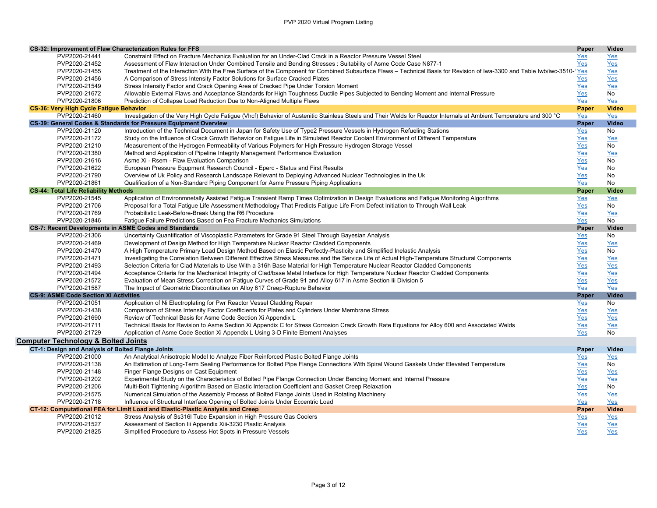| CS-32: Improvement of Flaw Characterization Rules for FFS    |                                                                                                                                                                          | Paper      | Video        |
|--------------------------------------------------------------|--------------------------------------------------------------------------------------------------------------------------------------------------------------------------|------------|--------------|
| PVP2020-21441                                                | Constraint Effect on Fracture Mechanics Evaluation for an Under-Clad Crack in a Reactor Pressure Vessel Steel                                                            | Yes        | Yes          |
| PVP2020-21452                                                | Assessment of Flaw Interaction Under Combined Tensile and Bending Stresses : Suitability of Asme Code Case N877-1                                                        | Yes        | Yes          |
| PVP2020-21455                                                | Treatment of the Interaction With the Free Surface of the Component for Combined Subsurface Flaws - Technical Basis for Revision of Iwa-3300 and Table Iwb/iwc-3510-'Yes |            | Yes          |
| PVP2020-21456                                                | A Comparison of Stress Intensity Factor Solutions for Surface Cracked Plates                                                                                             | Yes        | Yes          |
| PVP2020-21549                                                | Stress Intensity Factor and Crack Opening Area of Cracked Pipe Under Torsion Moment                                                                                      | Yes        | Yes          |
| PVP2020-21672                                                | Allowable External Flaws and Acceptance Standards for High Toughness Ductile Pipes Subjected to Bending Moment and Internal Pressure                                     | Yes        | No           |
| PVP2020-21806                                                | Prediction of Collapse Load Reduction Due to Non-Aligned Multiple Flaws                                                                                                  | Yes        | Yes          |
| <b>CS-36: Very High Cycle Fatigue Behavior</b>               |                                                                                                                                                                          | Paper      | <b>Video</b> |
| PVP2020-21460                                                | Investigation of the Very High Cycle Fatigue (Vhcf) Behavior of Austenitic Stainless Steels and Their Welds for Reactor Internals at Ambient Temperature and 300 °C      | Yes        | Yes          |
|                                                              | CS-39: General Codes & Standards for Pressure Equipment Overview                                                                                                         | Paper      | <b>Video</b> |
| PVP2020-21120                                                | Introduction of the Technical Document in Japan for Safety Use of Type2 Pressure Vessels in Hydrogen Refueling Stations                                                  | Yes        | No           |
| PVP2020-21172                                                | Study on the Influence of Crack Growth Behavior on Fatigue Life in Simulated Reactor Coolant Environment of Different Temperature                                        | <u>Yes</u> | Yes          |
| PVP2020-21210                                                | Measurement of the Hydrogen Permeability of Various Polymers for High Pressure Hydrogen Storage Vessel                                                                   | Yes        | No           |
| PVP2020-21380                                                | Method and Application of Pipeline Integrity Management Performance Evaluation                                                                                           | Yes        | Yes          |
| PVP2020-21616                                                | Asme Xi - Rsem - Flaw Evaluation Comparison                                                                                                                              | Yes        | No           |
| PVP2020-21622                                                | European Pressure Equpment Research Council - Eperc - Status and First Results                                                                                           | Yes        | No           |
| PVP2020-21790                                                | Overview of Uk Policy and Research Landscape Relevant to Deploying Advanced Nuclear Technologies in the Uk                                                               | <u>Yes</u> | No           |
| PVP2020-21861                                                | Qualification of a Non-Standard Piping Component for Asme Pressure Piping Applications                                                                                   | Yes        | No           |
| <b>CS-44: Total Life Reliability Methods</b>                 |                                                                                                                                                                          | Paper      | <b>Video</b> |
| PVP2020-21545                                                | Application of Environmnetally Assisted Fatigue Transient Ramp Times Optimization in Design Evaluations and Fatigue Monitoring Algorithms                                | <u>Yes</u> | Yes          |
| PVP2020-21706                                                | Proposal for a Total Fatigue Life Assessment Methodology That Predicts Fatigue Life From Defect Initiation to Through Wall Leak                                          | Yes        | No           |
| PVP2020-21769                                                | Probabilistic Leak-Before-Break Using the R6 Procedure                                                                                                                   | Yes        | Yes          |
| PVP2020-21846                                                | Fatigue Failure Predictions Based on Fea Fracture Mechanics Simulations                                                                                                  | Yes        | No           |
| <b>CS-7: Recent Developments in ASME Codes and Standards</b> |                                                                                                                                                                          | Paper      | <b>Video</b> |
| PVP2020-21306                                                | Uncertainty Quantification of Viscoplastic Parameters for Grade 91 Steel Through Bayesian Analysis                                                                       | Yes        | No           |
| PVP2020-21469                                                | Development of Design Method for High Temperature Nuclear Reactor Cladded Components                                                                                     | Yes        | Yes          |
| PVP2020-21470                                                | A High Temperature Primary Load Design Method Based on Elastic Perfectly-Plasticity and Simplified Inelastic Analysis                                                    | Yes        | No           |
| PVP2020-21471                                                | Investigating the Correlation Between Different Effective Stress Measures and the Service Life of Actual High-Temperature Structural Components                          | <u>Yes</u> | Yes          |
| PVP2020-21493                                                | Selection Criteria for Clad Materials to Use With a 316h Base Material for High Temperature Nuclear Reactor Cladded Components                                           | Yes        | Yes          |
| PVP2020-21494                                                | Acceptance Criteria for the Mechanical Integrity of Clad/base Metal Interface for High Temperature Nuclear Reactor Cladded Components                                    | Yes        | Yes          |
| PVP2020-21572                                                | Evaluation of Mean Stress Correction on Fatigue Curves of Grade 91 and Alloy 617 in Asme Section lii Division 5                                                          | Yes        | Yes          |
| PVP2020-21587                                                | The Impact of Geometric Discontinuities on Alloy 617 Creep-Rupture Behavior                                                                                              | Yes        | Yes          |
| <b>CS-9: ASME Code Section XI Activities</b>                 |                                                                                                                                                                          | Paper      | <b>Video</b> |
| PVP2020-21051                                                | Application of Ni Electroplating for Pwr Reactor Vessel Cladding Repair                                                                                                  | <u>Yes</u> | No           |
| PVP2020-21438                                                | Comparison of Stress Intensity Factor Coefficients for Plates and Cylinders Under Membrane Stress                                                                        | Yes        | $Yes$        |
| PVP2020-21690                                                | Review of Technical Basis for Asme Code Section Xi Appendix L                                                                                                            | Yes        | Yes          |
| PVP2020-21711                                                | Technical Basis for Revision to Asme Section Xi Appendix C for Stress Corrosion Crack Growth Rate Equations for Alloy 600 and Associated Welds                           | Yes        | Yes          |
| PVP2020-21729                                                | Application of Asme Code Section Xi Appendix L Using 3-D Finite Element Analyses                                                                                         | Yes        | <b>No</b>    |
| <b>Computer Technology &amp; Bolted Joints</b>               |                                                                                                                                                                          |            |              |
| CT-1: Design and Analysis of Bolted Flange Joints            |                                                                                                                                                                          | Paper      | <b>Video</b> |
| PVP2020-21000                                                | An Analytical Anisotropic Model to Analyze Fiber Reinforced Plastic Bolted Flange Joints                                                                                 | Yes        | Yes          |
| PVP2020-21138                                                | An Estimation of Long-Term Sealing Performance for Bolted Pipe Flange Connections With Spiral Wound Gaskets Under Elevated Temperature                                   | Yes        | <b>No</b>    |
| PVP2020-21148                                                | Finger Flange Designs on Cast Equipment                                                                                                                                  | Yes        | Yes          |
| PVP2020-21202                                                | Experimental Study on the Characteristics of Bolted Pipe Flange Connection Under Bending Moment and Internal Pressure                                                    | Yes        | Yes          |
| PVP2020-21206                                                | Multi-Bolt Tightening Algorithm Based on Elastic Interaction Coefficient and Gasket Creep Relaxation                                                                     | Yes        | No           |
| PVP2020-21575                                                | Numerical Simulation of the Assembly Process of Bolted Flange Joints Used in Rotating Machinery                                                                          | Yes        | Yes          |
| PVP2020-21718                                                |                                                                                                                                                                          |            | Yes          |
|                                                              | Influence of Structural Interface Opening of Bolted Joints Under Eccentric Load                                                                                          | <b>Yes</b> | <b>Video</b> |
|                                                              | CT-12: Computational FEA for Limit Load and Elastic-Plastic Analysis and Creep                                                                                           | Paper      |              |
| PVP2020-21012<br>PVP2020-21527                               | Stress Analysis of Ss316I Tube Expansion in High Pressure Gas Coolers                                                                                                    | $Yes$      | Yes          |
|                                                              | Assessment of Section Iii Appendix Xiii-3230 Plastic Analysis                                                                                                            | Yes        | Yes          |
| PVP2020-21825                                                | Simplified Procedure to Assess Hot Spots in Pressure Vessels                                                                                                             | Yes        | Yes          |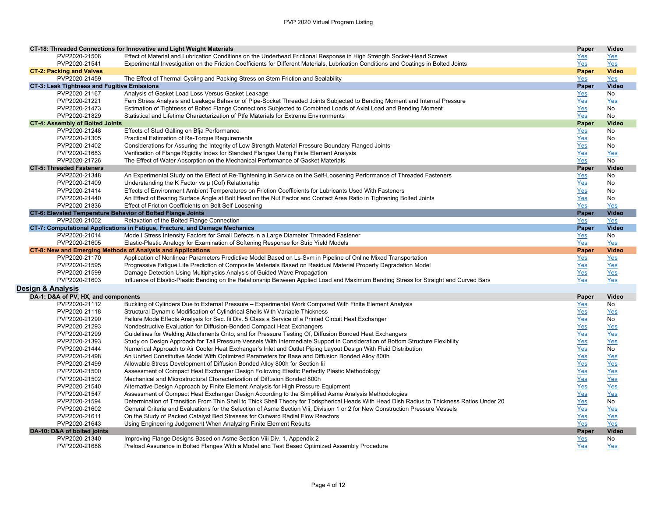|                                                    | CT-18: Threaded Connections for Innovative and Light Weight Materials                                                                                                  | Paper      | Video        |
|----------------------------------------------------|------------------------------------------------------------------------------------------------------------------------------------------------------------------------|------------|--------------|
| PVP2020-21506                                      | Effect of Material and Lubrication Conditions on the Underhead Frictional Response in High Strength Socket-Head Screws                                                 | <u>Yes</u> | Yes          |
| PVP2020-21541                                      | Experimental Investigation on the Friction Coefficients for Different Materials, Lubrication Conditions and Coatings in Bolted Joints                                  | Yes        | Yes          |
| <b>CT-2: Packing and Valves</b>                    |                                                                                                                                                                        | Paper      | <b>Video</b> |
| PVP2020-21459                                      | The Effect of Thermal Cycling and Packing Stress on Stem Friction and Sealability                                                                                      | Yes        | Yes          |
| <b>CT-3: Leak Tightness and Fugitive Emissions</b> |                                                                                                                                                                        | Paper      | <b>Video</b> |
| PVP2020-21167                                      | Analysis of Gasket Load Loss Versus Gasket Leakage                                                                                                                     | Yes        | No           |
| PVP2020-21221                                      | Fem Stress Analysis and Leakage Behavior of Pipe-Socket Threaded Joints Subjected to Bending Moment and Internal Pressure                                              | Yes        | Yes          |
| PVP2020-21473                                      | Estimation of Tightness of Bolted Flange Connections Subjected to Combined Loads of Axial Load and Bending Moment                                                      | Yes        | No           |
| PVP2020-21829                                      | Statistical and Lifetime Characterization of Ptfe Materials for Extreme Environments                                                                                   | Yes        | No           |
| <b>CT-4: Assembly of Bolted Joints</b>             |                                                                                                                                                                        | Paper      | <b>Video</b> |
| PVP2020-21248                                      | Effects of Stud Galling on Bfja Performance                                                                                                                            | Yes        | No           |
| PVP2020-21305                                      | Practical Estimation of Re-Torque Requirements                                                                                                                         | Yes        | No           |
| PVP2020-21402                                      | Considerations for Assuring the Integrity of Low Strength Material Pressure Boundary Flanged Joints                                                                    | Yes        | No           |
| PVP2020-21683                                      | Verification of Flange Rigidity Index for Standard Flanges Using Finite Element Analysis                                                                               | Yes        | Yes          |
| PVP2020-21726                                      | The Effect of Water Absorption on the Mechanical Performance of Gasket Materials                                                                                       | Yes        | No           |
| <b>CT-5: Threaded Fasteners</b>                    |                                                                                                                                                                        | Paper      | Video        |
| PVP2020-21348                                      | An Experimental Study on the Effect of Re-Tightening in Service on the Self-Loosening Performance of Threaded Fasteners                                                | <u>Yes</u> | No           |
| PVP2020-21409                                      | Understanding the K Factor vs µ (Cof) Relationship                                                                                                                     | Yes        | No           |
| PVP2020-21414                                      | Effects of Environment Ambient Temperatures on Friction Coefficients for Lubricants Used With Fasteners                                                                | Yes        | No           |
| PVP2020-21440                                      | An Effect of Bearing Surface Angle at Bolt Head on the Nut Factor and Contact Area Ratio in Tightening Bolted Joints                                                   | Yes        | No           |
| PVP2020-21836                                      | Effect of Friction Coefficients on Bolt Self-Loosening                                                                                                                 | Yes        | Yes          |
|                                                    | CT-6: Elevated Temperature Behavior of Bolted Flange Joints                                                                                                            | Paper      | <b>Video</b> |
| PVP2020-21002                                      | Relaxation of the Bolted Flange Connection                                                                                                                             | Yes        | Yes          |
|                                                    | CT-7: Computational Applications in Fatigue, Fracture, and Damage Mechanics                                                                                            | Paper      | <b>Video</b> |
| PVP2020-21014                                      | Mode I Stress Intensity Factors for Small Defects in a Large Diameter Threaded Fastener                                                                                | <u>Yes</u> | No           |
| PVP2020-21605                                      | Elastic-Plastic Analogy for Examination of Softening Response for Strip Yield Models                                                                                   | <b>Yes</b> | Yes          |
|                                                    | CT-8: New and Emerging Methods of Analysis and Applications                                                                                                            | Paper      | <b>Video</b> |
| PVP2020-21170                                      | Application of Nonlinear Parameters Predictive Model Based on Ls-Svm in Pipeline of Online Mixed Transportation                                                        | Yes        | Yes          |
|                                                    |                                                                                                                                                                        |            |              |
| PVP2020-21595                                      |                                                                                                                                                                        |            |              |
| PVP2020-21599                                      | Progressive Fatigue Life Prediction of Composite Materials Based on Residual Material Property Degradation Model                                                       | <u>Yes</u> | Yes          |
|                                                    | Damage Detection Using Multiphysics Analysis of Guided Wave Propagation                                                                                                | Yes        | Yes          |
| PVP2020-21603                                      | Influence of Elastic-Plastic Bending on the Relationship Between Applied Load and Maximum Bending Stress for Straight and Curved Bars                                  | Yes        | Yes          |
| Design & Analysis                                  |                                                                                                                                                                        |            |              |
| DA-1: D&A of PV, HX, and components                |                                                                                                                                                                        | Paper      | Video        |
| PVP2020-21112                                      | Buckling of Cylinders Due to External Pressure - Experimental Work Compared With Finite Element Analysis                                                               | Yes        | No           |
| PVP2020-21118                                      | Structural Dynamic Modification of Cylindrical Shells With Variable Thickness                                                                                          | Yes        | Yes          |
| PVP2020-21290                                      | Failure Mode Effects Analysis for Sec. Iii Div. 5 Class a Service of a Printed Circuit Heat Exchanger                                                                  | Yes        | No           |
| PVP2020-21293                                      | Nondestructive Evaluation for Diffusion-Bonded Compact Heat Exchangers                                                                                                 | Yes        | Yes          |
| PVP2020-21299                                      | Guidelines for Welding Attachments Onto, and for Pressure Testing Of, Diffusion Bonded Heat Exchangers                                                                 | <b>Yes</b> | Yes          |
| PVP2020-21393                                      | Study on Design Approach for Tall Pressure Vessels With Intermediate Support in Consideration of Bottom Structure Flexibility                                          | <b>Yes</b> | Yes          |
| PVP2020-21444                                      | Numerical Approach to Air Cooler Heat Exchanger's Inlet and Outlet Piping Layout Design With Fluid Distribution                                                        | Yes        | No           |
| PVP2020-21498                                      | An Unified Constitutive Model With Optimized Parameters for Base and Diffusion Bonded Alloy 800h                                                                       | Yes        | Yes          |
| PVP2020-21499                                      | Allowable Stress Development of Diffusion Bonded Alloy 800h for Section lii                                                                                            | Yes        | Yes          |
| PVP2020-21500                                      | Assessment of Compact Heat Exchanger Design Following Elastic Perfectly Plastic Methodology                                                                            | Yes        | Yes          |
| PVP2020-21502                                      | Mechanical and Microstructural Characterization of Diffusion Bonded 800h                                                                                               | Yes        | Yes          |
| PVP2020-21540                                      | Alternative Design Approach by Finite Element Analysis for High Pressure Equipment                                                                                     | Yes        | Yes          |
| PVP2020-21547                                      | Assessment of Compact Heat Exchanger Design According to the Simplified Asme Analysis Methodologies                                                                    | Yes        | Yes          |
| PVP2020-21594                                      | Determination of Transition From Thin Shell to Thick Shell Theory for Torispherical Heads With Head Dish Radius to Thickness Ratios Under 20                           | Yes        | No           |
| PVP2020-21602                                      | General Criteria and Evaluations for the Selection of Asme Section Viii, Division 1 or 2 for New Construction Pressure Vessels                                         | Yes        | Yes          |
| PVP2020-21611                                      | On the Study of Packed Catalyst Bed Stresses for Outward Radial Flow Reactors                                                                                          | Yes        | Yes          |
| PVP2020-21643                                      | Using Engineering Judgement When Analyzing Finite Element Results                                                                                                      | Yes        | Yes          |
| DA-10: D&A of bolted joints                        |                                                                                                                                                                        | Paper      | <b>Video</b> |
| PVP2020-21340<br>PVP2020-21688                     | Improving Flange Designs Based on Asme Section Viii Div. 1, Appendix 2<br>Preload Assurance in Bolted Flanges With a Model and Test Based Optimized Assembly Procedure | Yes<br>Yes | No<br>Yes    |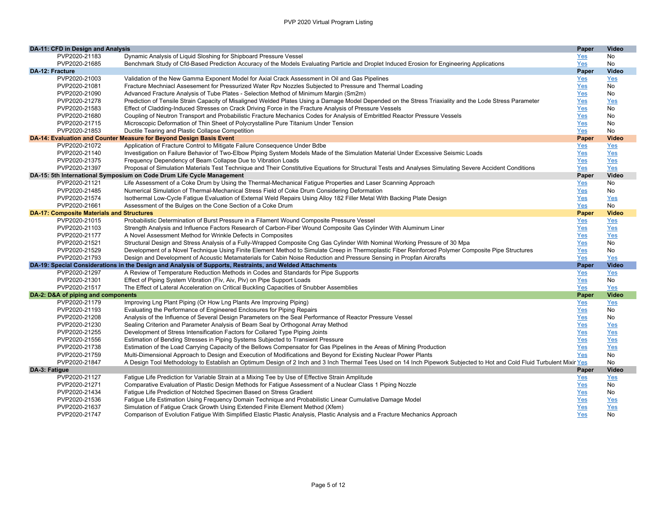| DA-11: CFD in Design and Analysis                |                                                                                                                                                                         | Paper      | <b>Video</b> |
|--------------------------------------------------|-------------------------------------------------------------------------------------------------------------------------------------------------------------------------|------------|--------------|
| PVP2020-21183                                    | Dynamic Analysis of Liquid Sloshing for Shipboard Pressure Vessel                                                                                                       | Yes        | No           |
| PVP2020-21685                                    | Benchmark Study of Cfd-Based Prediction Accuracy of the Models Evaluating Particle and Droplet Induced Erosion for Engineering Applications                             | Yes        | No           |
| <b>DA-12: Fracture</b>                           |                                                                                                                                                                         | Paper      | Video        |
| PVP2020-21003                                    | Validation of the New Gamma Exponent Model for Axial Crack Assessment in Oil and Gas Pipelines                                                                          | <u>Yes</u> | Yes          |
| PVP2020-21081                                    | Fracture Mechniacl Assesement for Pressurized Water Rpv Nozzles Subjected to Pressure and Thermal Loading                                                               | Yes        | No           |
| PVP2020-21090                                    | Advanced Fracture Analysis of Tube Plates - Selection Method of Minimum Margin (Sm2m)                                                                                   | Yes        | No           |
| PVP2020-21278                                    | Prediction of Tensile Strain Capacity of Misaligned Welded Plates Using a Damage Model Depended on the Stress Triaxiality and the Lode Stress Parameter                 | Yes        | Yes          |
| PVP2020-21583                                    | Effect of Cladding-Induced Stresses on Crack Driving Force in the Fracture Analysis of Pressure Vessels                                                                 | Yes        | No           |
| PVP2020-21680                                    | Coupling of Neutron Transport and Probabilistic Fracture Mechanics Codes for Analysis of Embrittled Reactor Pressure Vessels                                            | Yes        | No           |
| PVP2020-21715                                    | Microscopic Deformation of Thin Sheet of Polycrystalline Pure Titanium Under Tension                                                                                    | Yes        | No           |
| PVP2020-21853                                    | Ductile Tearing and Plastic Collapse Competition                                                                                                                        | Yes        | No           |
|                                                  | DA-14: Evaluation and Counter Measure for Beyond Design Basis Event                                                                                                     | Paper      | <b>Video</b> |
| PVP2020-21072                                    | Application of Fracture Control to Mitigate Failure Consequence Under Bdbe                                                                                              | <u>Yes</u> | Yes          |
| PVP2020-21140                                    | Investigation on Failure Behavior of Two-Elbow Piping System Models Made of the Simulation Material Under Excessive Seismic Loads                                       | <u>Yes</u> | <u>Yes</u>   |
| PVP2020-21375                                    | Frequency Dependency of Beam Collapse Due to Vibration Loads                                                                                                            | Yes        | Yes          |
| PVP2020-21397                                    | Proposal of Simulation Materials Test Technique and Their Constitutive Equations for Structural Tests and Analyses Simulating Severe Accident Conditions                | Yes        | Yes          |
|                                                  | DA-15: 5th International Symposium on Code Drum Life Cycle Management                                                                                                   | Paper      | <b>Video</b> |
| PVP2020-21121                                    | Life Assessment of a Coke Drum by Using the Thermal-Mechanical Fatigue Properties and Laser Scanning Approach                                                           | Yes        | No           |
| PVP2020-21485                                    | Numerical Simulation of Thermal-Mechanical Stress Field of Coke Drum Considering Deformation                                                                            | Yes        | No           |
| PVP2020-21574                                    | Isothermal Low-Cycle Fatigue Evaluation of External Weld Repairs Using Alloy 182 Filler Metal With Backing Plate Design                                                 | <u>Yes</u> | Yes          |
| PVP2020-21661                                    | Assessment of the Bulges on the Cone Section of a Coke Drum                                                                                                             | Yes        | No           |
| <b>DA-17: Composite Materials and Structures</b> |                                                                                                                                                                         | Paper      | <b>Video</b> |
| PVP2020-21015                                    | Probabilistic Determination of Burst Pressure in a Filament Wound Composite Pressure Vessel                                                                             | Yes        | Yes          |
| PVP2020-21103                                    | Strength Analysis and Influence Factors Research of Carbon-Fiber Wound Composite Gas Cylinder With Aluminum Liner                                                       | <u>Yes</u> | <u>Yes</u>   |
| PVP2020-21177                                    | A Novel Assessment Method for Wrinkle Defects in Composites                                                                                                             | Yes        | Yes          |
| PVP2020-21521                                    | Structural Design and Stress Analysis of a Fully-Wrapped Composite Cng Gas Cylinder With Nominal Working Pressure of 30 Mpa                                             | Yes        | No           |
| PVP2020-21529                                    | Development of a Novel Technique Using Finite Element Method to Simulate Creep in Thermoplastic Fiber Reinforced Polymer Composite Pipe Structures                      | Yes        | No           |
| PVP2020-21793                                    | Design and Development of Acoustic Metamaterials for Cabin Noise Reduction and Pressure Sensing in Propfan Aircrafts                                                    | Yes        | Yes          |
|                                                  | DA-19: Special Considerations in the Design and Analysis of Supports, Restraints, and Welded Attachments                                                                | Paper      | <b>Video</b> |
| PVP2020-21297                                    | A Review of Temperature Reduction Methods in Codes and Standards for Pipe Supports                                                                                      | Yes        | Yes          |
| PVP2020-21301                                    | Effect of Piping System Vibration (Fiv, Aiv, Piv) on Pipe Support Loads                                                                                                 | Yes        | No           |
| PVP2020-21517                                    | The Effect of Lateral Acceleration on Critical Buckling Capacities of Snubber Assemblies                                                                                | Yes        | Yes          |
| DA-2: D&A of piping and components               |                                                                                                                                                                         | Paper      | <b>Video</b> |
| PVP2020-21179                                    | Improving Lng Plant Piping (Or How Lng Plants Are Improving Piping)                                                                                                     | Yes        | Yes          |
| PVP2020-21193                                    | Evaluating the Performance of Engineered Enclosures for Piping Repairs                                                                                                  | Yes        | No           |
| PVP2020-21208                                    | Analysis of the Influence of Several Design Parameters on the Seal Performance of Reactor Pressure Vessel                                                               | Yes        | No           |
| PVP2020-21230                                    | Sealing Criterion and Parameter Analysis of Beam Seal by Orthogonal Array Method                                                                                        | <u>Yes</u> | Yes          |
| PVP2020-21255                                    | Development of Stress Intensification Factors for Collared Type Piping Joints                                                                                           | Yes        | Yes          |
| PVP2020-21556                                    | Estimation of Bending Stresses in Piping Systems Subjected to Transient Pressure                                                                                        | Yes        | Yes          |
| PVP2020-21738                                    | Estimation of the Load Carrying Capacity of the Bellows Compensator for Gas Pipelines in the Areas of Mining Production                                                 | Yes        | Yes          |
| PVP2020-21759                                    | Multi-Dimensional Approach to Design and Execution of Modifications and Beyond for Existing Nuclear Power Plants                                                        | Yes        | No           |
| PVP2020-21847                                    | A Design Tool Methodology to Establish an Optimum Design of 2 Inch and 3 Inch Thermal Tees Used on 14 Inch Pipework Subjected to Hot and Cold Fluid Turbulent Mixir Yes |            | No           |
| DA-3: Fatigue                                    |                                                                                                                                                                         | Paper      | Video        |
| PVP2020-21127                                    | Fatique Life Prediction for Variable Strain at a Mixing Tee by Use of Effective Strain Amplitude                                                                        | Yes        | Yes          |
| PVP2020-21271                                    | Comparative Evaluation of Plastic Design Methods for Fatigue Assessment of a Nuclear Class 1 Piping Nozzle                                                              | Yes        | No           |
| PVP2020-21434                                    | Fatigue Life Prediction of Notched Specimen Based on Stress Gradient                                                                                                    | Yes        | No           |
| PVP2020-21536                                    | Fatigue Life Estimation Using Frequency Domain Technique and Probabilistic Linear Cumulative Damage Model                                                               | Yes        | Yes          |
| PVP2020-21637                                    | Simulation of Fatigue Crack Growth Using Extended Finite Element Method (Xfem)                                                                                          | Yes        | Yes          |
| PVP2020-21747                                    | Comparison of Evolution Fatigue With Simplified Elastic Plastic Analysis, Plastic Analysis and a Fracture Mechanics Approach                                            | Yes        | No           |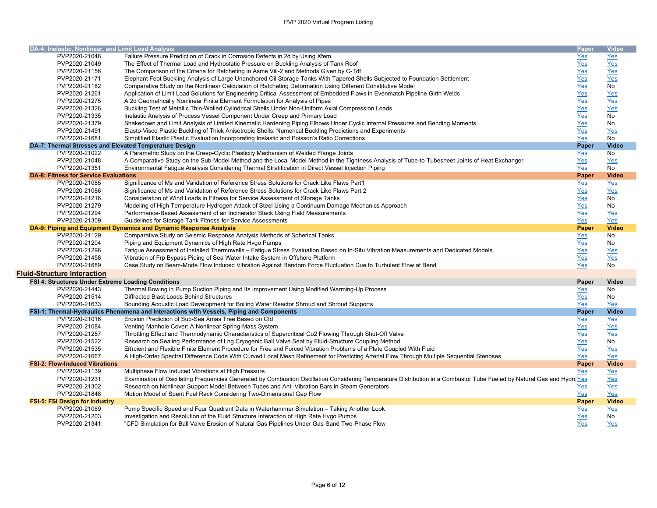| DA-4: Inelastic, Nonlinear, and Limit Load Analysis    |                                                                                                                                                                         | Paper        | <b>Video</b> |
|--------------------------------------------------------|-------------------------------------------------------------------------------------------------------------------------------------------------------------------------|--------------|--------------|
| PVP2020-21046                                          | Failure Pressure Prediction of Crack in Corrosion Defects in 2d by Using Xfem                                                                                           | Yes          | Yes          |
| PVP2020-21049                                          | The Effect of Thermal Load and Hydrostatic Pressure on Buckling Analysis of Tank Roof                                                                                   | Yes          | Yes          |
| PVP2020-21156                                          | The Comparison of the Criteria for Ratcheting in Asme Viii-2 and Methods Given by C-Tdf                                                                                 | Yes          | Yes          |
| PVP2020-21171                                          | Elephant Foot Buckling Analysis of Large Unanchored Oil Storage Tanks With Tapered Shells Subjected to Foundation Settlement                                            | Yes          | Yes          |
| PVP2020-21182                                          | Comparative Study on the Nonlinear Calculation of Ratcheting Deformation Using Different Constitutive Model                                                             | Yes          | No           |
| PVP2020-21261                                          | Application of Limit Load Solutions for Engineering Critical Assessment of Embedded Flaws in Evenmatch Pipeline Girth Welds                                             | Yes          | Yes          |
| PVP2020-21275                                          | A 2d Geometrically Nonlinear Finite Element Formulation for Analysis of Pipes                                                                                           | Yes          | Yes          |
| PVP2020-21326                                          | Buckling Test of Metallic Thin-Walled Cylindrical Shells Under Non-Uniform Axial Compression Loads                                                                      | Yes          | Yes          |
| PVP2020-21335                                          | Inelastic Analysis of Process Vessel Component Under Creep and Primary Load                                                                                             | Yes          | No           |
| PVP2020-21379                                          | Shakedown and Limit Analysis of Limited Kinematic Hardening Piping Elbows Under Cyclic Internal Pressures and Bending Moments                                           | Yes          | No           |
| PVP2020-21491                                          | Elasto-Visco-Plastic Buckling of Thick Anisotropic Shells: Numerical Buckling Predictions and Experiments                                                               | Yes          | Yes          |
| PVP2020-21681                                          |                                                                                                                                                                         |              | No           |
| DA-7: Thermal Stresses and Elevated Temperature Design | Simplified Elastic Plastic Evaluation Incorporating Inelastic and Poisson's Ratio Corrections                                                                           | Yes<br>Paper | <b>Video</b> |
| PVP2020-21022                                          | A Parametric Study on the Creep-Cyclic Plasticity Mechanism of Welded Flange Joints                                                                                     |              | No           |
|                                                        |                                                                                                                                                                         | Yes          |              |
| PVP2020-21048                                          | A Comparative Study on the Sub-Model Method and the Local Model Method in the Tightness Analysis of Tube-to-Tubesheet Joints of Heat Exchanger                          | Yes          | Yes          |
| PVP2020-21351                                          | Environmental Fatigue Analysis Considering Thermal Stratification in Direct Vessel Injection Piping                                                                     | Yes          | No           |
| <b>DA-8: Fitness for Service Evaluations</b>           |                                                                                                                                                                         | Paper        | <b>Video</b> |
| PVP2020-21085                                          | Significance of Ms and Validation of Reference Stress Solutions for Crack Like Flaws Part1                                                                              | Yes          | Yes          |
| PVP2020-21086                                          | Significance of Ms and Validation of Reference Stress Solutions for Crack Like Flaws Part 2                                                                             | Yes          | Yes          |
| PVP2020-21216                                          | Consideration of Wind Loads in Fitness for Service Assessment of Storage Tanks                                                                                          | Yes          | No           |
| PVP2020-21279                                          | Modeling of High Temperature Hydrogen Attack of Steel Using a Continuum Damage Mechanics Approach                                                                       | Yes          | No           |
| PVP2020-21294                                          | Performance-Based Assessment of an Incinerator Stack Using Field Measurements                                                                                           | Yes          | Yes          |
| PVP2020-21309                                          | Guidelines for Storage Tank Fitness-for-Service Assessments                                                                                                             | Yes          | Yes          |
|                                                        | DA-9: Piping and Equipment Dynamics and Dynamic Response Analysis                                                                                                       | Paper        | <b>Video</b> |
| PVP2020-21129                                          | Comparative Study on Seismic Response Analysis Methods of Spherical Tanks                                                                                               | Yes          | No           |
| PVP2020-21204                                          | Piping and Equipment Dynamics of High Rate Hvgo Pumps                                                                                                                   | Yes          | No           |
| PVP2020-21296                                          | Fatigue Assessment of Installed Thermowells - Fatigue Stress Evaluation Based on In-Situ Vibration Measurements and Dedicated Models.                                   | Yes          | Yes          |
| PVP2020-21458                                          | Vibration of Frp Bypass Piping of Sea Water Intake System in Offshore Platform                                                                                          | Yes          | Yes          |
| PVP2020-21689                                          | Case Study on Beam-Mode Flow Induced Vibration Against Random Force Fluctuation Due to Turbulent Flow at Bend                                                           | Yes          | <b>No</b>    |
| Fluid-Structure Interaction                            |                                                                                                                                                                         |              |              |
| FSI 4: Structures Under Extreme Loading Conditions     |                                                                                                                                                                         | Paper        | Video        |
| PVP2020-21443                                          | Thermal Bowing in Pump Suction Piping and Its Improvement Using Modified Warming-Up Process                                                                             | Yes          | No           |
| PVP2020-21514                                          | Diffracted Blast Loads Behind Structures                                                                                                                                | Yes          | No           |
| PVP2020-21633                                          | Bounding Acoustic Load Development for Boiling Water Reactor Shroud and Shroud Supports                                                                                 | Yes          | Yes          |
|                                                        | FSI-1: Thermal-Hydraulics Phenomena and Interactions with Vessels, Piping and Components                                                                                | Paper        | <b>Video</b> |
| PVP2020-21016                                          | Erosion Prediction of Sub-Sea Xmas Tree Based on Cfd                                                                                                                    | Yes          | Yes          |
| PVP2020-21084                                          | Venting Manhole Cover: A Nonlinear Spring-Mass System                                                                                                                   | Yes          | Yes          |
| PVP2020-21257                                          | Throttling Effect and Thermodynamic Characteristics of Supercritical Co2 Flowing Through Shut-Off Valve                                                                 | <b>Yes</b>   | Yes          |
| PVP2020-21522                                          | Research on Sealing Performance of Lng Cryogenic Ball Valve Seat by Fluid-Structure Coupling Method                                                                     | Yes          | No           |
| PVP2020-21535                                          | Efficient and Flexible Finite Element Procedure for Free and Forced Vibration Problems of a Plate Coupled With Fluid                                                    | Yes          | Yes          |
| PVP2020-21667                                          | A High-Order Spectral Difference Code With Curved Local Mesh Refinement for Predicting Arterial Flow Through Multiple Sequential Stenoses                               | Yes          | Yes          |
| <b>FSI-2: Flow-Induced Vibrations</b>                  |                                                                                                                                                                         |              | <b>Video</b> |
|                                                        |                                                                                                                                                                         | Paper        |              |
| PVP2020-21139                                          | Multiphase Flow Induced Vibrations at High Pressure                                                                                                                     | Yes          | $Yes$        |
| PVP2020-21231                                          | Examination of Oscillating Frequencies Generated by Combustion Oscillation Considering Temperature Distribution in a Combustor Tube Fueled by Natural Gas and Hydrc Yes |              | Yes          |
| PVP2020-21302                                          | Research on Nonlinear Support Model Between Tubes and Anti-Vibration Bars in Steam Generators                                                                           | <u>Yes</u>   | Yes          |
| PVP2020-21848                                          | Motion Model of Spent Fuel Rack Considering Two-Dimensional Gap Flow                                                                                                    | Yes          | Yes          |
| <b>FSI-5: FSI Design for Industry</b>                  |                                                                                                                                                                         | Paper        | <b>Video</b> |
| PVP2020-21069                                          | Pump Specific Speed and Four Quadrant Data in Waterhammer Simulation - Taking Another Look                                                                              | Yes          | Yes          |
| PVP2020-21203                                          | Investigation and Resolution of the Fluid Structure Interaction of High Rate Hvgo Pumps                                                                                 | <u>Yes</u>   | No           |
| PVP2020-21341                                          | "CFD Simulation for Ball Valve Erosion of Natural Gas Pipelines Under Gas-Sand Two-Phase Flow                                                                           | Yes          | <b>Yes</b>   |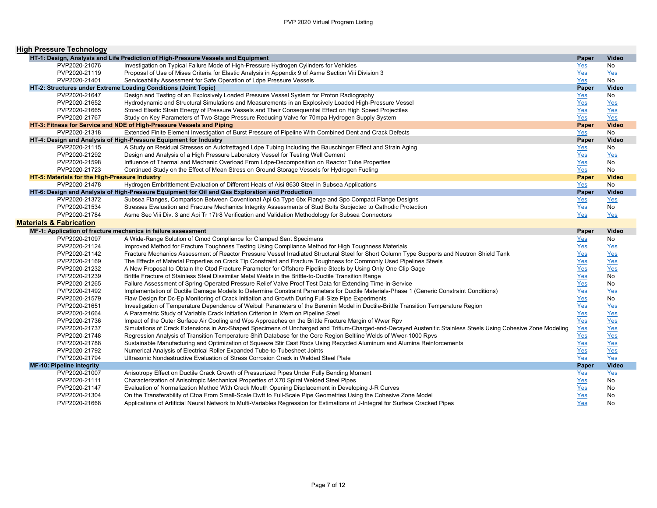| <b>High Pressure Technology</b>                |                                                                                                                                                                                                                                                     |            |              |
|------------------------------------------------|-----------------------------------------------------------------------------------------------------------------------------------------------------------------------------------------------------------------------------------------------------|------------|--------------|
|                                                | HT-1: Design, Analysis and Life Prediction of High-Pressure Vessels and Equipment                                                                                                                                                                   | Paper      | Video        |
| PVP2020-21076                                  | Investigation on Typical Failure Mode of High-Pressure Hydrogen Cylinders for Vehicles                                                                                                                                                              | Yes        | No           |
| PVP2020-21119                                  | Proposal of Use of Mises Criteria for Elastic Analysis in Appendix 9 of Asme Section Viii Division 3                                                                                                                                                | Yes        | Yes          |
| PVP2020-21401                                  | Serviceability Assessment for Safe Operation of Ldpe Pressure Vessels                                                                                                                                                                               | Yes        | <b>No</b>    |
|                                                | HT-2: Structures under Extreme Loading Conditions (Joint Topic)                                                                                                                                                                                     | Paper      | <b>Video</b> |
| PVP2020-21647                                  | Design and Testing of an Explosively Loaded Pressure Vessel System for Proton Radiography                                                                                                                                                           | $Yes$      | No           |
| PVP2020-21652                                  | Hydrodynamic and Structural Simulations and Measurements in an Explosively Loaded High-Pressure Vessel                                                                                                                                              | Yes        | Yes          |
| PVP2020-21665                                  | Stored Elastic Strain Energy of Pressure Vessels and Their Consequential Effect on High Speed Projectiles                                                                                                                                           | Yes        | Yes          |
| PVP2020-21767                                  | Study on Key Parameters of Two-Stage Pressure Reducing Valve for 70mpa Hydrogen Supply System                                                                                                                                                       | Yes        | Yes          |
|                                                | HT-3: Fitness for Service and NDE of High-Pressure Vessels and Piping                                                                                                                                                                               | Paper      | <b>Video</b> |
| PVP2020-21318                                  | Extended Finite Element Investigation of Burst Pressure of Pipeline With Combined Dent and Crack Defects                                                                                                                                            | Yes        | No           |
|                                                | HT-4: Design and Analysis of High-Pressure Equipment for Industry                                                                                                                                                                                   | Paper      | Video        |
| PVP2020-21115                                  | A Study on Residual Stresses on Autofrettaged Ldpe Tubing Including the Bauschinger Effect and Strain Aging                                                                                                                                         | Yes        | No           |
| PVP2020-21292                                  | Design and Analysis of a High Pressure Laboratory Vessel for Testing Well Cement                                                                                                                                                                    |            | Yes          |
| PVP2020-21598                                  | Influence of Thermal and Mechanic Overload From Ldpe-Decomposition on Reactor Tube Properties                                                                                                                                                       | Yes        | <b>No</b>    |
| PVP2020-21723                                  | Continued Study on the Effect of Mean Stress on Ground Storage Vessels for Hydrogen Fueling                                                                                                                                                         | Yes<br>Yes | No           |
| HT-5: Materials for the High-Pressure Industry |                                                                                                                                                                                                                                                     | Paper      | <b>Video</b> |
| PVP2020-21478                                  | Hydrogen Embrittlement Evaluation of Different Heats of Aisi 8630 Steel in Subsea Applications                                                                                                                                                      |            | No           |
|                                                | HT-6: Design and Analysis of High-Pressure Equipment for Oil and Gas Exploration and Production                                                                                                                                                     | Yes        | <b>Video</b> |
| PVP2020-21372                                  | Subsea Flanges, Comparison Between Coventional Api 6a Type 6bx Flange and Spo Compact Flange Designs                                                                                                                                                | Paper      |              |
| PVP2020-21534                                  | Stresses Evaluation and Fracture Mechanics Integrity Assessments of Stud Bolts Subjected to Cathodic Protection                                                                                                                                     | Yes        | Yes<br>No    |
| PVP2020-21784                                  |                                                                                                                                                                                                                                                     | Yes        |              |
|                                                | Asme Sec Viii Div. 3 and Api Tr 17tr8 Verification and Validation Methodology for Subsea Connectors                                                                                                                                                 | Yes        | Yes          |
|                                                |                                                                                                                                                                                                                                                     |            |              |
| <b>Materials &amp; Fabrication</b>             |                                                                                                                                                                                                                                                     |            |              |
|                                                | MF-1: Application of fracture mechanics in failure assessment                                                                                                                                                                                       | Paper      | Video        |
| PVP2020-21097                                  | A Wide-Range Solution of Cmod Compliance for Clamped Sent Specimens                                                                                                                                                                                 | Yes        | No           |
| PVP2020-21124                                  | Improved Method for Fracture Toughness Testing Using Compliance Method for High Toughness Materials                                                                                                                                                 | $Yes$      | Yes          |
| PVP2020-21142                                  | Fracture Mechanics Assessment of Reactor Pressure Vessel Irradiated Structural Steel for Short Column Type Supports and Neutron Shield Tank                                                                                                         | Yes        | Yes          |
| PVP2020-21169                                  | The Effects of Material Properties on Crack Tip Constraint and Fracture Toughness for Commonly Used Pipelines Steels                                                                                                                                | Yes        | Yes          |
| PVP2020-21232                                  | A New Proposal to Obtain the Ctod Fracture Parameter for Offshore Pipeline Steels by Using Only One Clip Gage                                                                                                                                       | Yes        | Yes          |
| PVP2020-21239                                  | Brittle Fracture of Stainless Steel Dissimilar Metal Welds in the Brittle-to-Ductile Transition Range                                                                                                                                               | Yes        | No           |
| PVP2020-21265                                  | Failure Assessment of Spring-Operated Pressure Relief Valve Proof Test Data for Extending Time-in-Service                                                                                                                                           | Yes        | No           |
| PVP2020-21492                                  | Implementation of Ductile Damage Models to Determine Constraint Parameters for Ductile Materials-Phase 1 (Generic Constraint Conditions)                                                                                                            | Yes        | Yes          |
| PVP2020-21579                                  | Flaw Design for Dc-Ep Monitoring of Crack Initiation and Growth During Full-Size Pipe Experiments                                                                                                                                                   | Yes        | <b>No</b>    |
| PVP2020-21651                                  | Investigation of Temperature Dependence of Weibull Parameters of the Beremin Model in Ductile-Brittle Transition Temperature Region                                                                                                                 | $Yes$      | Yes          |
| PVP2020-21664                                  | A Parametric Study of Variable Crack Initiation Criterion in Xfem on Pipeline Steel                                                                                                                                                                 | Yes        | Yes          |
| PVP2020-21736                                  | Impact of the Outer Surface Air Cooling and Wps Approaches on the Brittle Fracture Margin of Wwer Rpv                                                                                                                                               | Yes        | Yes          |
| PVP2020-21737                                  | Simulations of Crack Extensions in Arc-Shaped Specimens of Uncharged and Tritium-Charged-and-Decayed Austenitic Stainless Steels Using Cohesive Zone Modeling                                                                                       | Yes        | Yes          |
| PVP2020-21748                                  | Regression Analysis of Transition Temperature Shift Database for the Core Region Beltline Welds of Wwer-1000 Rpvs                                                                                                                                   | Yes        | Yes          |
| PVP2020-21788                                  | Sustainable Manufacturing and Optimization of Squeeze Stir Cast Rods Using Recycled Aluminum and Alumina Reinforcements                                                                                                                             | Yes        | Yes          |
| PVP2020-21792                                  | Numerical Analysis of Electrical Roller Expanded Tube-to-Tubesheet Joints                                                                                                                                                                           | Yes        | Yes          |
| PVP2020-21794                                  | Ultrasonic Nondestructive Evaluation of Stress Corrosion Crack in Welded Steel Plate                                                                                                                                                                | Yes        | Yes          |
| <b>MF-10: Pipeline integrity</b>               |                                                                                                                                                                                                                                                     | Paper      | <b>Video</b> |
| PVP2020-21007                                  | Anisotropy Effect on Ductile Crack Growth of Pressurized Pipes Under Fully Bending Moment                                                                                                                                                           | Yes        | Yes          |
| PVP2020-21111                                  | Characterization of Anisotropic Mechanical Properties of X70 Spiral Welded Steel Pipes                                                                                                                                                              | Yes        | No           |
| PVP2020-21147                                  | Evaluation of Normalization Method With Crack Mouth Opening Displacement in Developing J-R Curves                                                                                                                                                   | Yes        | No           |
| PVP2020-21304<br>PVP2020-21668                 | On the Transferability of Ctoa From Small-Scale Dwtt to Full-Scale Pipe Geometries Using the Cohesive Zone Model<br>Applications of Artificial Neural Network to Multi-Variables Regression for Estimations of J-Integral for Surface Cracked Pipes | Yes<br>Yes | No<br>No     |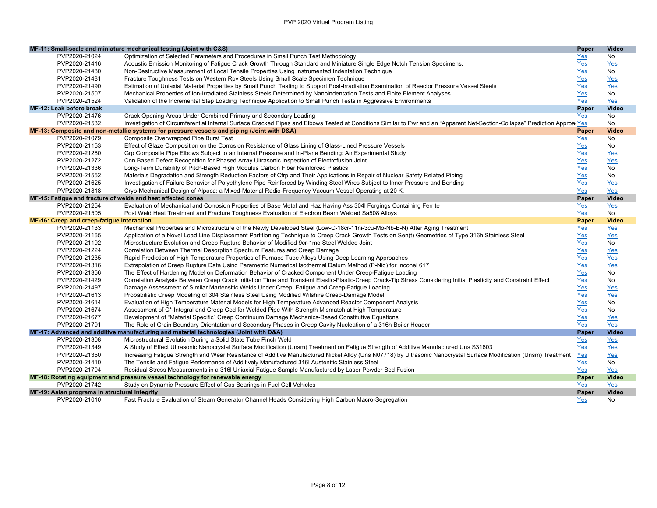|                                                              | MF-11: Small-scale and miniature mechanical testing (Joint with C&S)                                                                                                         | Paper      | Video        |
|--------------------------------------------------------------|------------------------------------------------------------------------------------------------------------------------------------------------------------------------------|------------|--------------|
| PVP2020-21024                                                | Optimization of Selected Parameters and Procedures in Small Punch Test Methodology                                                                                           | Yes        | No           |
| PVP2020-21416                                                | Acoustic Emission Monitoring of Fatigue Crack Growth Through Standard and Miniature Single Edge Notch Tension Specimens.                                                     | Yes        | <b>Yes</b>   |
| PVP2020-21480                                                | Non-Destructive Measurement of Local Tensile Properties Using Instrumented Indentation Technique                                                                             | Yes        | No           |
| PVP2020-21481                                                | Fracture Toughness Tests on Western Rpv Steels Using Small Scale Specimen Technique                                                                                          | Yes        | Yes          |
| PVP2020-21490                                                | Estimation of Uniaxial Material Properties by Small Punch Testing to Support Post-Irradiation Examination of Reactor Pressure Vessel Steels                                  | Yes        | Yes          |
| PVP2020-21507                                                | Mechanical Properties of Ion-Irradiated Stainless Steels Determined by Nanoindentation Tests and Finite Element Analyses                                                     | Yes        | No           |
| PVP2020-21524                                                | Validation of the Incremental Step Loading Technique Application to Small Punch Tests in Aggressive Environments                                                             | Yes        | Yes          |
| MF-12: Leak before break                                     |                                                                                                                                                                              | Paper      | <b>Video</b> |
| PVP2020-21476                                                | Crack Opening Areas Under Combined Primary and Secondary Loading                                                                                                             | Yes        | <b>No</b>    |
| PVP2020-21532                                                | Investigation of Circumferential Internal Surface Cracked Pipes and Elbows Tested at Conditions Similar to Pwr and an "Apparent Net-Section-Collapse" Prediction Approar Yes |            | <b>No</b>    |
|                                                              | MF-13: Composite and non-metallic systems for pressure vessels and piping (Joint with D&A)                                                                                   | Paper      | <b>Video</b> |
| PVP2020-21079                                                | Composite Overwrapped Pipe Burst Test                                                                                                                                        | Yes        | No           |
| PVP2020-21153                                                | Effect of Glaze Composition on the Corrosion Resistance of Glass Lining of Glass-Lined Pressure Vessels                                                                      | Yes        | No           |
| PVP2020-21260                                                | Grp Composite Pipe Elbows Subject to an Internal Pressure and In-Plane Bending: An Experimental Study                                                                        | Yes        | Yes          |
| PVP2020-21272                                                | Cnn Based Defect Recognition for Phased Array Ultrasonic Inspection of Electrofusion Joint                                                                                   | <u>Yes</u> | Yes          |
| PVP2020-21336                                                | Long-Term Durability of Pitch-Based High Modulus Carbon Fiber Reinforced Plastics                                                                                            | Yes        | No           |
| PVP2020-21552                                                | Materials Degradation and Strength Reduction Factors of Cfrp and Their Applications in Repair of Nuclear Safety Related Piping                                               | <u>Yes</u> | No           |
| PVP2020-21625                                                | Investigation of Failure Behavior of Polyethylene Pipe Reinforced by Winding Steel Wires Subject to Inner Pressure and Bending                                               | Yes        | Yes          |
| PVP2020-21818                                                | Cryo-Mechanical Design of Alpaca: a Mixed-Material Radio-Frequency Vacuum Vessel Operating at 20 K.                                                                          | Yes        | Yes          |
| MF-15: Fatigue and fracture of welds and heat affected zones |                                                                                                                                                                              | Paper      | Video        |
| PVP2020-21254                                                | Evaluation of Mechanical and Corrosion Properties of Base Metal and Haz Having Ass 304I Forgings Containing Ferrite                                                          | <u>Yes</u> | Yes          |
| PVP2020-21505                                                | Post Weld Heat Treatment and Fracture Toughness Evaluation of Electron Beam Welded Sa508 Alloys                                                                              | Yes        | <b>No</b>    |
| MF-16: Creep and creep-fatigue interaction                   |                                                                                                                                                                              | Paper      | <b>Video</b> |
| PVP2020-21133                                                | Mechanical Properties and Microstructure of the Newly Developed Steel (Low-C-18cr-11ni-3cu-Mo-Nb-B-N) After Aging Treatment                                                  | Yes        | Yes          |
| PVP2020-21165                                                | Application of a Novel Load Line Displacement Partitioning Technique to Creep Crack Growth Tests on Sen(t) Geometries of Type 316h Stainless Steel                           | Yes        | Yes          |
| PVP2020-21192                                                | Microstructure Evolution and Creep Rupture Behavior of Modified 9cr-1mo Steel Welded Joint                                                                                   | <u>Yes</u> | <b>No</b>    |
| PVP2020-21224                                                | Correlation Between Thermal Desorption Spectrum Features and Creep Damage                                                                                                    | Yes        | Yes          |
| PVP2020-21235                                                | Rapid Prediction of High Temperature Properties of Furnace Tube Alloys Using Deep Learning Approaches                                                                        | Yes        | Yes          |
| PVP2020-21316                                                | Extrapolation of Creep Rupture Data Using Parametric Numerical Isothermal Datum Method (P-Nid) for Inconel 617                                                               | Yes        | Yes          |
| PVP2020-21356                                                | The Effect of Hardening Model on Deformation Behavior of Cracked Component Under Creep-Fatique Loading                                                                       | Yes        | No           |
| PVP2020-21429                                                | Correlation Analysis Between Creep Crack Initiation Time and Transient Elastic-Plastic-Creep Crack-Tip Stress Considering Initial Plasticity and Constraint Effect           | <u>Yes</u> | No           |
| PVP2020-21497                                                | Damage Assessment of Similar Martensitic Welds Under Creep, Fatigue and Creep-Fatigue Loading                                                                                | Yes        | Yes          |
| PVP2020-21613                                                | Probabilistic Creep Modeling of 304 Stainless Steel Using Modified Wilshire Creep-Damage Model                                                                               | Yes        | Yes          |
| PVP2020-21614                                                | Evaluation of High Temperature Material Models for High Temperature Advanced Reactor Component Analysis                                                                      | Yes        | No           |
| PVP2020-21674                                                | Assessment of C*-Integral and Creep Cod for Welded Pipe With Strength Mismatch at High Temperature                                                                           | Yes        | No           |
| PVP2020-21677                                                | Development of "Material Specific" Creep Continuum Damage Mechanics-Based Constitutive Equations                                                                             | Yes        | Yes          |
| PVP2020-21791                                                | The Role of Grain Boundary Orientation and Secondary Phases in Creep Cavity Nucleation of a 316h Boiler Header                                                               | Yes        | Yes          |
|                                                              | MF-17: Advanced and additive manufacturing and material technologies (Joint with D&A)                                                                                        | Paper      | <b>Video</b> |
| PVP2020-21308                                                | Microstructural Evolution During a Solid State Tube Pinch Weld                                                                                                               | Yes        | Yes          |
| PVP2020-21349                                                | A Study of Effect Ultrasonic Nanocrystal Surface Modification (Unsm) Treatment on Fatigue Strength of Additive Manufactured Uns S31603                                       | Yes        | Yes          |
| PVP2020-21350                                                | Increasing Fatigue Strength and Wear Resistance of Additive Manufactured Nickel Alloy (Uns N07718) by Ultrasonic Nanocrystal Surface Modification (Unsm) Treatment           | Yes        | Yes          |
| PVP2020-21410                                                | The Tensile and Fatigue Performance of Additively Manufactured 316I Austenitic Stainless Steel                                                                               | <u>Yes</u> | No           |
| PVP2020-21704                                                | Residual Stress Measurements in a 316I Uniaxial Fatigue Sample Manufactured by Laser Powder Bed Fusion                                                                       | Yes        | Yes          |
|                                                              | MF-18: Rotating equipment and pressure vessel technology for renewable energy                                                                                                | Paper      | <b>Video</b> |
| PVP2020-21742                                                | Study on Dynamic Pressure Effect of Gas Bearings in Fuel Cell Vehicles                                                                                                       | Yes        | Yes          |
| MF-19: Asian programs in structural integrity                |                                                                                                                                                                              | Paper      | <b>Video</b> |
| PVP2020-21010                                                | Fast Fracture Evaluation of Steam Generator Channel Heads Considering High Carbon Macro-Segregation                                                                          | Yes        | No           |
|                                                              |                                                                                                                                                                              |            |              |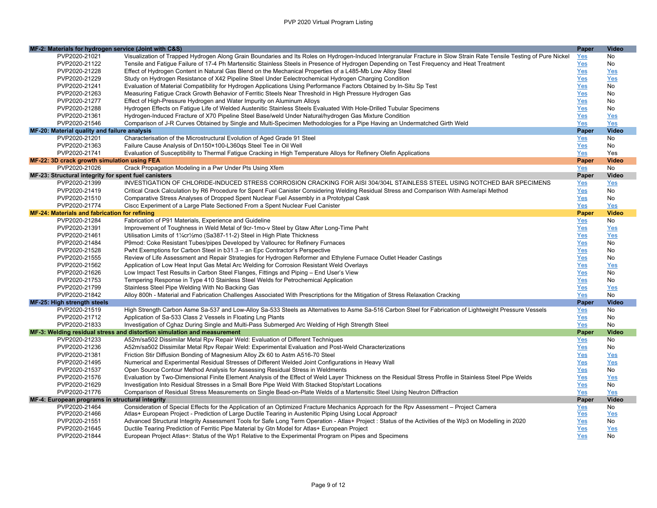|                                                      | MF-2: Materials for hydrogen service (Joint with C&S)                                                                                                                | Paper      | <b>Video</b> |
|------------------------------------------------------|----------------------------------------------------------------------------------------------------------------------------------------------------------------------|------------|--------------|
| PVP2020-21021                                        | Visualization of Trapped Hydrogen Along Grain Boundaries and Its Roles on Hydrogen-Induced Intergranular Fracture in Slow Strain Rate Tensile Testing of Pure Nickel | <u>Yes</u> | No           |
| PVP2020-21122                                        | Tensile and Fatique Failure of 17-4 Ph Martensitic Stainless Steels in Presence of Hydrogen Depending on Test Frequency and Heat Treatment                           | Yes        | No           |
| PVP2020-21228                                        | Effect of Hydrogen Content in Natural Gas Blend on the Mechanical Properties of a L485-Mb Low Alloy Steel                                                            | Yes        | Yes          |
| PVP2020-21229                                        | Study on Hydrogen Resistance of X42 Pipeline Steel Under Eelectrochemical Hydrogen Charging Condition                                                                | Yes        | Yes          |
| PVP2020-21241                                        | Evaluation of Material Compatibility for Hydrogen Applications Using Performance Factors Obtained by In-Situ Sp Test                                                 | Yes        | No           |
| PVP2020-21263                                        | Measuring Fatigue Crack Growth Behavior of Ferritic Steels Near Threshold in High Pressure Hydrogen Gas                                                              | Yes        | No           |
| PVP2020-21277                                        | Effect of High-Pressure Hydrogen and Water Impurity on Aluminum Alloys                                                                                               | Yes        | No           |
| PVP2020-21288                                        | Hydrogen Effects on Fatique Life of Welded Austenitic Stainless Steels Evaluated With Hole-Drilled Tubular Specimens                                                 | Yes        | No           |
| PVP2020-21361                                        | Hydrogen-Induced Fracture of X70 Pipeline Steel Base/weld Under Natural/hydrogen Gas Mixture Condition                                                               | Yes        | Yes          |
| PVP2020-21546                                        | Comparison of J-R Curves Obtained by Single and Multi-Specimen Methodologies for a Pipe Having an Undermatched Girth Weld                                            | Yes        | Yes          |
| MF-20: Material quality and failure analysis         |                                                                                                                                                                      | Paper      | Video        |
| PVP2020-21201                                        | Characterisation of the Microstructural Evolution of Aged Grade 91 Steel                                                                                             | Yes        | No           |
| PVP2020-21363                                        | Failure Cause Analysis of Dn150×100-L360gs Steel Tee in Oil Well                                                                                                     | <u>Yes</u> | No           |
| PVP2020-21741                                        | Evaluation of Susceptibility to Thermal Fatigue Cracking in High Temperature Alloys for Refinery Olefin Applications                                                 | Yes        | Yes          |
| MF-22: 3D crack growth simulation using FEA          |                                                                                                                                                                      | Paper      | <b>Video</b> |
| PVP2020-21026                                        | Crack Propagation Modeling in a Pwr Under Pts Using Xfem                                                                                                             | Yes        | No           |
| MF-23: Structural integrity for spent fuel canisters |                                                                                                                                                                      | Paper      | Video        |
| PVP2020-21399                                        | INVESTIGATION OF CHLORIDE-INDUCED STRESS CORROSION CRACKING FOR AISI 304/304L STAINLESS STEEL USING NOTCHED BAR SPECIMENS                                            | <u>Yes</u> | Yes          |
| PVP2020-21419                                        | Critical Crack Calculation by R6 Procedure for Spent Fuel Canister Considering Welding Residual Stress and Comparison With Asme/api Method                           | <u>Yes</u> | No           |
| PVP2020-21510                                        | Comparative Stress Analyses of Dropped Spent Nuclear Fuel Assembly in a Prototypal Cask                                                                              | Yes        | No           |
| PVP2020-21774                                        | Ciscc Experiment of a Large Plate Sectioned From a Spent Nuclear Fuel Canister                                                                                       | Yes        | Yes          |
| MF-24: Materials and fabrication for refining        |                                                                                                                                                                      | Paper      | <b>Video</b> |
| PVP2020-21284                                        | Fabrication of P91 Materials, Experience and Guideline                                                                                                               | <u>Yes</u> | No           |
| PVP2020-21391                                        | Improvement of Toughness in Weld Metal of 9cr-1mo-v Steel by Gtaw After Long-Time Pwht                                                                               | Yes        | Yes          |
| PVP2020-21461                                        | Utilisation Limits of 11/4cr1/2mo (Sa387-11-2) Steel in High Plate Thickness                                                                                         | Yes        | Yes          |
| PVP2020-21484                                        | P9mod: Coke Resistant Tubes/pipes Developed by Vallourec for Refinery Furnaces                                                                                       | Yes        | No           |
| PVP2020-21528                                        | Pwht Exemptions for Carbon Steel in b31.3 - an Epc Contractor's Perspective                                                                                          | Yes        | No           |
| PVP2020-21555                                        | Review of Life Assessment and Repair Strategies for Hydrogen Reformer and Ethylene Furnace Outlet Header Castings                                                    | Yes        | No           |
| PVP2020-21562                                        | Application of Low Heat Input Gas Metal Arc Welding for Corrosion Resistant Weld Overlays                                                                            | Yes        | Yes          |
| PVP2020-21626                                        | Low Impact Test Results in Carbon Steel Flanges, Fittings and Piping - End User's View                                                                               | Yes        | <b>No</b>    |
| PVP2020-21753                                        | Tempering Response in Type 410 Stainless Steel Welds for Petrochemical Application                                                                                   | Yes        | No           |
| PVP2020-21799                                        | Stainless Steel Pipe Welding With No Backing Gas                                                                                                                     | Yes        | Yes          |
| PVP2020-21842                                        | Alloy 800h - Material and Fabrication Challenges Associated With Prescriptions for the Mitigation of Stress Relaxation Cracking                                      | Yes        | No           |
| MF-25: High strength steels                          |                                                                                                                                                                      | Paper      | <b>Video</b> |
| PVP2020-21519                                        | High Strength Carbon Asme Sa-537 and Low-Alloy Sa-533 Steels as Alternatives to Asme Sa-516 Carbon Steel for Fabrication of Lightweight Pressure Vessels             | Yes        | No           |
| PVP2020-21712                                        | Application of Sa-533 Class 2 Vessels in Floating Lng Plants                                                                                                         | Yes        | No           |
| PVP2020-21833                                        | Investigation of Cghaz During Single and Multi-Pass Submerged Arc Welding of High Strength Steel                                                                     | Yes        | No           |
|                                                      | MF-3: Welding residual stress and distortion simulation and measurement                                                                                              | Paper      | <b>Video</b> |
| PVP2020-21233                                        | A52m/sa502 Dissimilar Metal Rpv Repair Weld: Evaluation of Different Techniques                                                                                      | Yes        | No           |
| PVP2020-21236                                        | A52m/sa502 Dissimilar Metal Rpv Repair Weld: Experimental Evaluation and Post-Weld Characterizations                                                                 | Yes        | No           |
| PVP2020-21381                                        | Friction Stir Diffusion Bonding of Magnesium Alloy Zk 60 to Astm A516-70 Steel                                                                                       | Yes        | Yes          |
| PVP2020-21495                                        | Numerical and Experimental Residual Stresses of Different Welded Joint Configurations in Heavy Wall                                                                  | Yes        | Yes          |
| PVP2020-21537                                        | Open Source Contour Method Analysis for Assessing Residual Stress in Weldments                                                                                       | Yes        | No           |
| PVP2020-21576                                        | Evaluation by Two-Dimensional Finite Element Analysis of the Effect of Weld Layer Thickness on the Residual Stress Profile in Stainless Steel Pipe Welds             | Yes        | Yes          |
| PVP2020-21629                                        | Investigation Into Residual Stresses in a Small Bore Pipe Weld With Stacked Stop/start Locations                                                                     | Yes        | No           |
| PVP2020-21776                                        | Comparison of Residual Stress Measurements on Single Bead-on-Plate Welds of a Martensitic Steel Using Neutron Diffraction                                            | Yes        | Yes          |
| MF-4: European programs in structural integrity      |                                                                                                                                                                      | Paper      | Video        |
| PVP2020-21464                                        | Consideration of Special Effects for the Application of an Optimized Fracture Mechanics Approach for the Rpv Assessment - Project Camera                             | Yes        | No           |
| PVP2020-21466                                        | Atlas+ European Project - Prediction of Large Ductile Tearing in Austenitic Piping Using Local Approach                                                              | Yes        | Yes          |
| PVP2020-21551                                        | Advanced Structural Integrity Assessment Tools for Safe Long Term Operation - Atlas+ Project : Status of the Activities of the Wp3 on Modelling in 2020              | Yes        | No           |
| PVP2020-21645                                        | Ductile Tearing Prediction of Ferritic Pipe Material by Gtn Model for Atlas+ European Project                                                                        | Yes        | Yes          |
| PVP2020-21844                                        | European Project Atlas+: Status of the Wp1 Relative to the Experimental Program on Pipes and Specimens                                                               | Yes        | <b>No</b>    |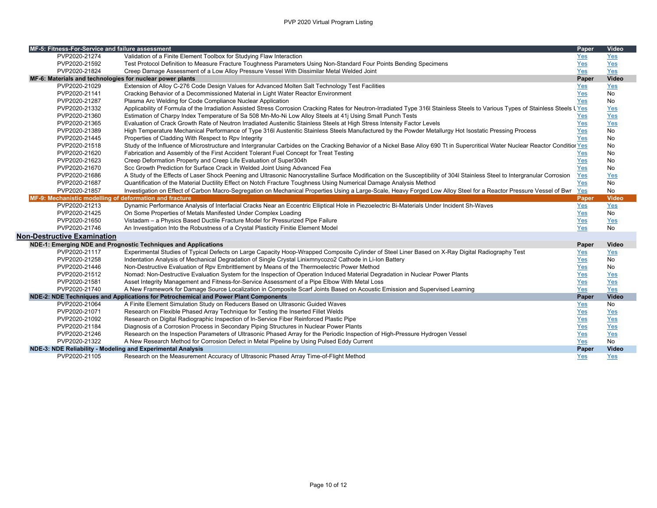| MF-5: Fitness-For-Service and failure assessment            |                                                                                                                                                                                  | Paper      | Video        |
|-------------------------------------------------------------|----------------------------------------------------------------------------------------------------------------------------------------------------------------------------------|------------|--------------|
| PVP2020-21274                                               | Validation of a Finite Element Toolbox for Studying Flaw Interaction                                                                                                             | Yes        | Yes          |
| PVP2020-21592                                               | Test Protocol Definition to Measure Fracture Toughness Parameters Using Non-Standard Four Points Bending Specimens                                                               | Yes        | Yes          |
| PVP2020-21824                                               | Creep Damage Assessment of a Low Alloy Pressure Vessel With Dissimilar Metal Welded Joint                                                                                        | Yes        | Yes          |
| MF-6: Materials and technologies for nuclear power plants   |                                                                                                                                                                                  | Paper      | Video        |
| PVP2020-21029                                               | Extension of Alloy C-276 Code Design Values for Advanced Molten Salt Technology Test Facilities                                                                                  | Yes        | Yes          |
| PVP2020-21141                                               | Cracking Behavior of a Decommissioned Material in Light Water Reactor Environment                                                                                                | Yes        | No           |
| PVP2020-21287                                               | Plasma Arc Welding for Code Compliance Nuclear Application                                                                                                                       | Yes        | No           |
| PVP2020-21332                                               | Applicability of Formula of the Irradiation Assisted Stress Corrosion Cracking Rates for Neutron-Irradiated Type 316I Stainless Steels to Various Types of Stainless Steels LYes |            | Yes          |
| PVP2020-21360                                               | Estimation of Charpy Index Temperature of Sa 508 Mn-Mo-Ni Low Alloy Steels at 41j Using Small Punch Tests                                                                        | Yes        | Yes          |
| PVP2020-21365                                               | Evaluation of Crack Growth Rate of Neutron Irradiated Austenitic Stainless Steels at High Stress Intensity Factor Levels                                                         | Yes        | Yes          |
| PVP2020-21389                                               | High Temperature Mechanical Performance of Type 316I Austenitic Stainless Steels Manufactured by the Powder Metallurgy Hot Isostatic Pressing Process                            | Yes        | No           |
| PVP2020-21445                                               | Properties of Cladding With Respect to Rpv Integrity                                                                                                                             | <b>Yes</b> | <b>No</b>    |
| PVP2020-21518                                               | Study of the Influence of Microstructure and Intergranular Carbides on the Cracking Behavior of a Nickel Base Alloy 690 Tt in Supercritical Water Nuclear Reactor Condition Yes  |            | <b>No</b>    |
| PVP2020-21620                                               | Fabrication and Assembly of the First Accident Tolerant Fuel Concept for Treat Testing                                                                                           | Yes        | No           |
| PVP2020-21623                                               | Creep Deformation Property and Creep Life Evaluation of Super304h                                                                                                                | Yes        | No           |
| PVP2020-21670                                               | Scc Growth Prediction for Surface Crack in Welded Joint Using Advanced Fea                                                                                                       | <b>Yes</b> | No           |
| PVP2020-21686                                               | A Study of the Effects of Laser Shock Peening and Ultrasonic Nanocrystalline Surface Modification on the Susceptibility of 304I Stainless Steel to Intergranular Corrosion       | Yes        | Yes          |
| PVP2020-21687                                               | Quantification of the Material Ductility Effect on Notch Fracture Toughness Using Numerical Damage Analysis Method                                                               | Yes        | <b>No</b>    |
| PVP2020-21857                                               | Investigation on Effect of Carbon Macro-Segregation on Mechanical Properties Using a Large-Scale, Heavy Forged Low Alloy Steel for a Reactor Pressure Vessel of Bwr              | Yes        | No           |
| MF-9: Mechanistic modelling of deformation and fracture     |                                                                                                                                                                                  | Paper      | <b>Video</b> |
| PVP2020-21213                                               | Dynamic Performance Analysis of Interfacial Cracks Near an Eccentric Elliptical Hole in Piezoelectric Bi-Materials Under Incident Sh-Waves                                       | Yes        | Yes          |
| PVP2020-21425                                               | On Some Properties of Metals Manifested Under Complex Loading                                                                                                                    | Yes        | <b>No</b>    |
| PVP2020-21650                                               | Vistadam - a Physics Based Ductile Fracture Model for Pressurized Pipe Failure                                                                                                   | Yes        | Yes          |
| PVP2020-21746                                               | An Investigation Into the Robustness of a Crystal Plasticity Finitie Element Model                                                                                               | Yes        | No           |
| <b>Non-Destructive Examination</b>                          |                                                                                                                                                                                  |            |              |
|                                                             | NDE-1: Emerging NDE and Prognostic Techniques and Applications                                                                                                                   | Paper      | Video        |
| PVP2020-21117                                               | Experimental Studies of Typical Defects on Large Capacity Hoop-Wrapped Composite Cylinder of Steel Liner Based on X-Ray Digital Radiography Test                                 | Yes        | Yes          |
| PVP2020-21258                                               | Indentation Analysis of Mechanical Degradation of Single Crystal Linixmnycozo2 Cathode in Li-Ion Battery                                                                         | Yes        | <b>No</b>    |
| PVP2020-21446                                               | Non-Destructive Evaluation of Rpv Embrittlement by Means of the Thermoelectric Power Method                                                                                      | Yes        | No           |
| PVP2020-21512                                               | Nomad: Non-Destructive Evaluation System for the Inspection of Operation Induced Material Degradation in Nuclear Power Plants                                                    | Yes        | <b>Yes</b>   |
| PVP2020-21581                                               | Asset Integrity Management and Fitness-for-Service Assessment of a Pipe Elbow With Metal Loss                                                                                    | Yes        | Yes          |
| PVP2020-21740                                               | A New Framework for Damage Source Localization in Composite Scarf Joints Based on Acoustic Emission and Supervised Learning                                                      | Yes        | Yes          |
|                                                             | NDE-2: NDE Techniques and Applications for Petrochemical and Power Plant Components                                                                                              | Paper      | <b>Video</b> |
| PVP2020-21064                                               | A Finite Element Simulation Study on Reducers Based on Ultrasonic Guided Waves                                                                                                   | Yes        | No           |
| PVP2020-21071                                               | Research on Flexible Phased Array Technique for Testing the Inserted Fillet Welds                                                                                                | Yes        | <b>Yes</b>   |
| PVP2020-21092                                               | Research on Digital Radiographic Inspection of In-Service Fiber Reinforced Plastic Pipe                                                                                          | Yes        | Yes          |
| PVP2020-21184                                               | Diagnosis of a Corrosion Process in Secondary Piping Structures in Nuclear Power Plants                                                                                          | Yes        | Yes          |
| PVP2020-21246                                               | Research on the Inspection Parameters of Ultrasonic Phased Array for the Periodic Inspection of High-Pressure Hydrogen Vessel                                                    | Yes        | Yes          |
| PVP2020-21322                                               | A New Research Method for Corrosion Defect in Metal Pipeline by Using Pulsed Eddy Current                                                                                        | Yes        | <b>No</b>    |
| NDE-3: NDE Reliability - Modeling and Experimental Analysis |                                                                                                                                                                                  | Paper      | <b>Video</b> |
| PVP2020-21105                                               | Research on the Measurement Accuracy of Ultrasonic Phased Array Time-of-Flight Method                                                                                            | Yes        | <b>Yes</b>   |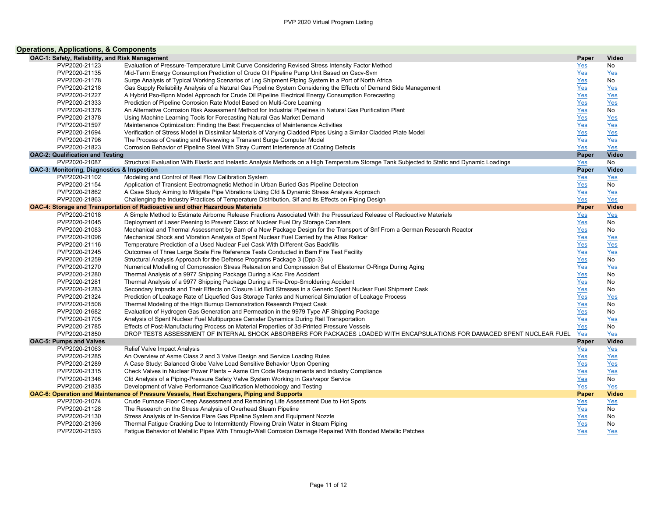| <b>Operations, Applications, &amp; Components</b> |                                                                                                                                               |            |              |
|---------------------------------------------------|-----------------------------------------------------------------------------------------------------------------------------------------------|------------|--------------|
| OAC-1: Safety, Reliability, and Risk Management   |                                                                                                                                               | Paper      | Video        |
| PVP2020-21123                                     | Evaluation of Pressure-Temperature Limit Curve Considering Revised Stress Intensity Factor Method                                             | $Yes$      | No           |
| PVP2020-21135                                     | Mid-Term Energy Consumption Prediction of Crude Oil Pipeline Pump Unit Based on Gscv-Sym                                                      | Yes        | Yes          |
| PVP2020-21178                                     | Surge Analysis of Typical Working Scenarios of Lng Shipment Piping System in a Port of North Africa                                           | Yes        | No           |
| PVP2020-21218                                     | Gas Supply Reliability Analysis of a Natural Gas Pipeline System Considering the Effects of Demand Side Management                            | Yes        | Yes          |
| PVP2020-21227                                     | A Hybrid Pso-Bpnn Model Approach for Crude Oil Pipeline Electrical Energy Consumption Forecasting                                             | Yes        | Yes          |
| PVP2020-21333                                     | Prediction of Pipeline Corrosion Rate Model Based on Multi-Core Learning                                                                      | Yes        | Yes          |
| PVP2020-21376                                     | An Alternative Corrosion Risk Assessment Method for Industrial Pipelines in Natural Gas Purification Plant                                    | Yes        | No           |
| PVP2020-21378                                     | Using Machine Learning Tools for Forecasting Natural Gas Market Demand                                                                        | Yes        | Yes          |
| PVP2020-21597                                     | Maintenance Optimization: Finding the Best Frequencies of Maintenance Activities                                                              | Yes        | Yes          |
| PVP2020-21694                                     | Verification of Stress Model in Dissimilar Materials of Varying Cladded Pipes Using a Similar Cladded Plate Model                             | Yes        | Yes          |
| PVP2020-21796                                     | The Process of Creating and Reviewing a Transient Surge Computer Model                                                                        | Yes        | Yes          |
| PVP2020-21823                                     | Corrosion Behavior of Pipeline Steel With Stray Current Interference at Coating Defects                                                       | <b>Yes</b> | Yes          |
| <b>OAC-2: Qualification and Testing</b>           |                                                                                                                                               | Paper      | Video        |
| PVP2020-21087                                     | Structural Evaluation With Elastic and Inelastic Analysis Methods on a High Temperature Storage Tank Subjected to Static and Dynamic Loadings | Yes        | <b>No</b>    |
| OAC-3: Monitoring, Diagnostics & Inspection       |                                                                                                                                               | Paper      | <b>Video</b> |
| PVP2020-21102                                     | Modeling and Control of Real Flow Calibration System                                                                                          | Yes        | Yes          |
| PVP2020-21154                                     | Application of Transient Electromagnetic Method in Urban Buried Gas Pipeline Detection                                                        | Yes        | No           |
| PVP2020-21862                                     | A Case Study Aiming to Mitigate Pipe Vibrations Using Cfd & Dynamic Stress Analysis Approach                                                  | Yes        | Yes          |
| PVP2020-21863                                     | Challenging the Industry Practices of Temperature Distribution, Sif and Its Effects on Piping Design                                          | Yes        | Yes          |
|                                                   | OAC-4: Storage and Transportation of Radioactive and other Hazardous Materials                                                                | Paper      | <b>Video</b> |
| PVP2020-21018                                     | A Simple Method to Estimate Airborne Release Fractions Associated With the Pressurized Release of Radioactive Materials                       | Yes        | Yes          |
| PVP2020-21045                                     | Deployment of Laser Peening to Prevent Ciscc of Nuclear Fuel Dry Storage Canisters                                                            | Yes        | No           |
| PVP2020-21083                                     | Mechanical and Thermal Assessment by Bam of a New Package Design for the Transport of Snf From a German Research Reactor                      | Yes        | No           |
| PVP2020-21096                                     | Mechanical Shock and Vibration Analysis of Spent Nuclear Fuel Carried by the Atlas Railcar                                                    | Yes        | Yes          |
| PVP2020-21116                                     | Temperature Prediction of a Used Nuclear Fuel Cask With Different Gas Backfills                                                               | Yes        | Yes          |
| PVP2020-21245                                     | Outcomes of Three Large Scale Fire Reference Tests Conducted in Bam Fire Test Facility                                                        | Yes        | Yes          |
| PVP2020-21259                                     | Structural Analysis Approach for the Defense Programs Package 3 (Dpp-3)                                                                       | Yes        | No           |
| PVP2020-21270                                     | Numerical Modelling of Compression Stress Relaxation and Compression Set of Elastomer O-Rings During Aging                                    | Yes        | Yes          |
| PVP2020-21280                                     | Thermal Analysis of a 9977 Shipping Package During a Kac Fire Accident                                                                        | Yes        | No           |
| PVP2020-21281                                     | Thermal Analysis of a 9977 Shipping Package During a Fire-Drop-Smoldering Accident                                                            | Yes        | No           |
| PVP2020-21283                                     | Secondary Impacts and Their Effects on Closure Lid Bolt Stresses in a Generic Spent Nuclear Fuel Shipment Cask                                | Yes        | No           |
| PVP2020-21324                                     | Prediction of Leakage Rate of Liquefied Gas Storage Tanks and Numerical Simulation of Leakage Process                                         | Yes        | Yes          |
| PVP2020-21508                                     | Thermal Modeling of the High Burnup Demonstration Research Project Cask                                                                       | Yes        | No           |
| PVP2020-21682                                     | Evaluation of Hydrogen Gas Generation and Permeation in the 9979 Type AF Shipping Package                                                     | Yes        | No           |
| PVP2020-21705                                     | Analysis of Spent Nuclear Fuel Multipurpose Canister Dynamics During Rail Transportation                                                      | Yes        | Yes          |
| PVP2020-21785                                     | Effects of Post-Manufacturing Process on Material Properties of 3d-Printed Pressure Vessels                                                   | Yes        | No           |
| PVP2020-21850                                     | DROP TESTS ASSESSMENT OF INTERNAL SHOCK ABSORBERS FOR PACKAGES LOADED WITH ENCAPSULATIONS FOR DAMAGED SPENT NUCLEAR FUEL                      | Yes        | Yes          |
| <b>OAC-5: Pumps and Valves</b>                    |                                                                                                                                               | Paper      | Video        |
| PVP2020-21063                                     | Relief Valve Impact Analysis                                                                                                                  | Yes        | Yes          |
| PVP2020-21285                                     | An Overview of Asme Class 2 and 3 Valve Design and Service Loading Rules                                                                      | Yes        | Yes          |
| PVP2020-21289                                     | A Case Study: Balanced Globe Valve Load Sensitive Behavior Upon Opening                                                                       | Yes        | Yes          |
| PVP2020-21315                                     | Check Valves in Nuclear Power Plants - Asme Om Code Requirements and Industry Compliance                                                      | Yes        | Yes          |
| PVP2020-21346                                     | Cfd Analysis of a Piping-Pressure Safety Valve System Working in Gas/vapor Service                                                            | Yes        | No           |
| PVP2020-21835                                     | Development of Valve Performance Qualification Methodology and Testing                                                                        | Yes        | Yes          |
|                                                   | OAC-6: Operation and Maintenance of Pressure Vessels, Heat Exchangers, Piping and Supports                                                    | Paper      | <b>Video</b> |
| PVP2020-21074                                     | Crude Furnace Floor Creep Assessment and Remaining Life Assessment Due to Hot Spots                                                           | Yes        | Yes          |
| PVP2020-21128                                     | The Research on the Stress Analysis of Overhead Steam Pipeline                                                                                | $Yes$      | No           |
| PVP2020-21130                                     | Stress Analysis of In-Service Flare Gas Pipeline System and Equipment Nozzle                                                                  | Yes        | No           |
| PVP2020-21396                                     | Thermal Fatigue Cracking Due to Intermittently Flowing Drain Water in Steam Piping                                                            | Yes        | No           |
| PVP2020-21593                                     | Fatique Behavior of Metallic Pipes With Through-Wall Corrosion Damage Repaired With Bonded Metallic Patches                                   | <b>Yes</b> | Yes          |